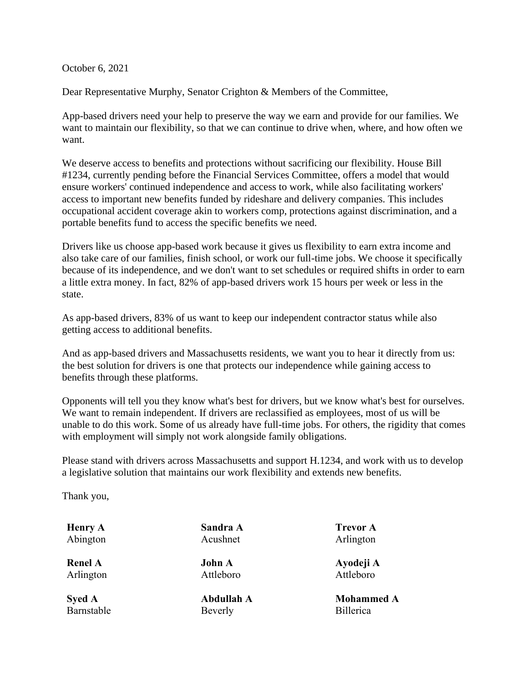October 6, 2021

Dear Representative Murphy, Senator Crighton & Members of the Committee,

App-based drivers need your help to preserve the way we earn and provide for our families. We want to maintain our flexibility, so that we can continue to drive when, where, and how often we want.

We deserve access to benefits and protections without sacrificing our flexibility. House Bill #1234, currently pending before the Financial Services Committee, offers a model that would ensure workers' continued independence and access to work, while also facilitating workers' access to important new benefits funded by rideshare and delivery companies. This includes occupational accident coverage akin to workers comp, protections against discrimination, and a portable benefits fund to access the specific benefits we need.

Drivers like us choose app-based work because it gives us flexibility to earn extra income and also take care of our families, finish school, or work our full-time jobs. We choose it specifically because of its independence, and we don't want to set schedules or required shifts in order to earn a little extra money. In fact, 82% of app-based drivers work 15 hours per week or less in the state.

As app-based drivers, 83% of us want to keep our independent contractor status while also getting access to additional benefits.

And as app-based drivers and Massachusetts residents, we want you to hear it directly from us: the best solution for drivers is one that protects our independence while gaining access to benefits through these platforms.

Opponents will tell you they know what's best for drivers, but we know what's best for ourselves. We want to remain independent. If drivers are reclassified as employees, most of us will be unable to do this work. Some of us already have full-time jobs. For others, the rigidity that comes with employment will simply not work alongside family obligations.

Please stand with drivers across Massachusetts and support H.1234, and work with us to develop a legislative solution that maintains our work flexibility and extends new benefits.

Thank you,

| <b>Henry A</b> | Sandra A          | <b>Trevor A</b>   |
|----------------|-------------------|-------------------|
| Abington       | Acushnet          | Arlington         |
| <b>Renel A</b> | <b>John A</b>     | Ayodeji A         |
| Arlington      | Attleboro         | Attleboro         |
| <b>Syed A</b>  | <b>Abdullah A</b> | <b>Mohammed A</b> |
| Barnstable     | Beverly           | <b>Billerica</b>  |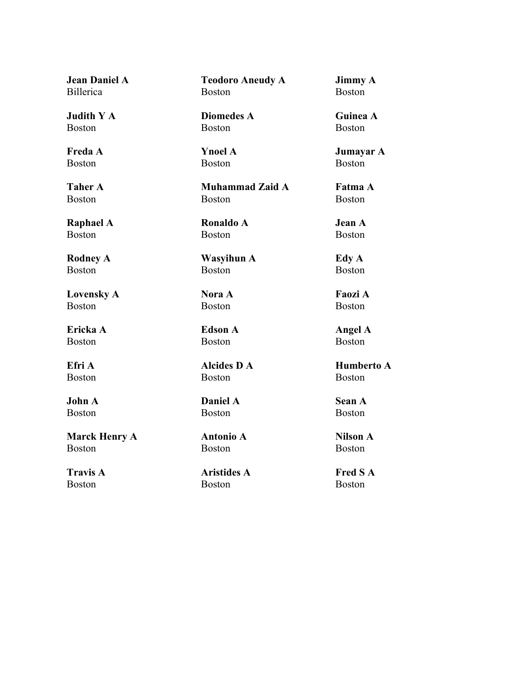**Jean Daniel A** Billerica

**Judith Y A** Boston

**Freda A** Boston

**Taher A** Boston

**Raphael A** Boston

**Rodney A** Boston

**Lovensky A** Boston

**Ericka A** Boston

**Efri A** Boston

**John A** Boston

**Marck Henry A** Boston

**Travis A** Boston

**Teodoro Aneudy A** Boston

**Jimmy A** Boston

**Diomedes A** Boston

**Ynoel A** Boston

**Muhammad Zaid A** Boston

**Ronaldo A** Boston

**Wasyihun A** Boston

**Nora A** Boston

**Edson A** Boston

**Alcides D A** Boston

**Daniel A** Boston

**Antonio A** Boston

**Aristides A** Boston

**Guinea A** Boston

**Jumayar A** Boston

**Fatma A** Boston

**Jean A** Boston

**Edy A** Boston

**Faozi A** Boston

**Angel A** Boston

**Humberto A** Boston

**Sean A** Boston

**Nilson A** Boston

**Fred S A** Boston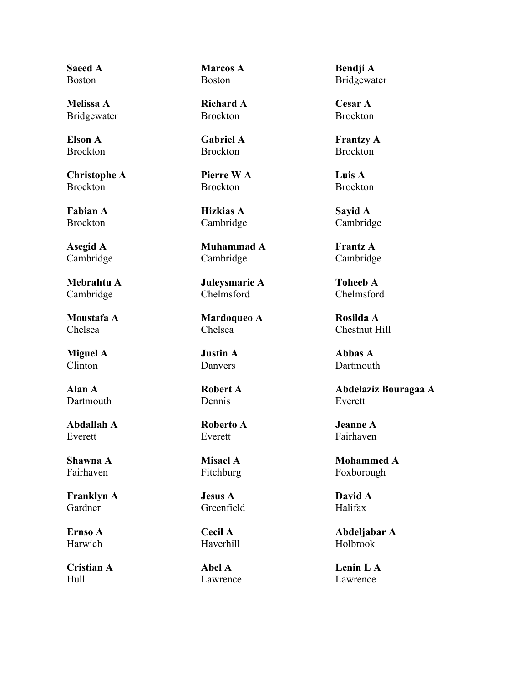**Saeed A** Boston

**Melissa A** Bridgewater

**Elson A** Brockton

**Christophe A Brockton** 

**Fabian A** Brockton

**Asegid A** Cambridge

**Mebrahtu A** Cambridge

**Moustafa A** Chelsea

**Miguel A** Clinton

**Alan A** Dartmouth

**Abdallah A** Everett

**Shawna A** Fairhaven

**Franklyn A** Gardner

**Ernso A** Harwich

**Cristian A** Hull

**Marcos A** Boston

**Richard A** Brockton

**Gabriel A** Brockton

**Pierre W A** Brockton

**Hizkias A** Cambridge

**Muhammad A** Cambridge

**Juleysmarie A** Chelmsford

**Mardoqueo A** Chelsea

**Justin A** Danvers

**Robert A** Dennis

**Roberto A** Everett

**Misael A** Fitchburg

**Jesus A** Greenfield

**Cecil A** Haverhill

**Abel A** Lawrence

**Bendji A** Bridgewater

**Cesar A** Brockton

**Frantzy A** Brockton

**Luis A Brockton** 

**Sayid A** Cambridge

**Frantz A** Cambridge

**Toheeb A** Chelmsford

**Rosilda A** Chestnut Hill

**Abbas A** Dartmouth

**Abdelaziz Bouragaa A** Everett

**Jeanne A** Fairhaven

**Mohammed A** Foxborough

**David A** Halifax

**Abdeljabar A** Holbrook

**Lenin L A** Lawrence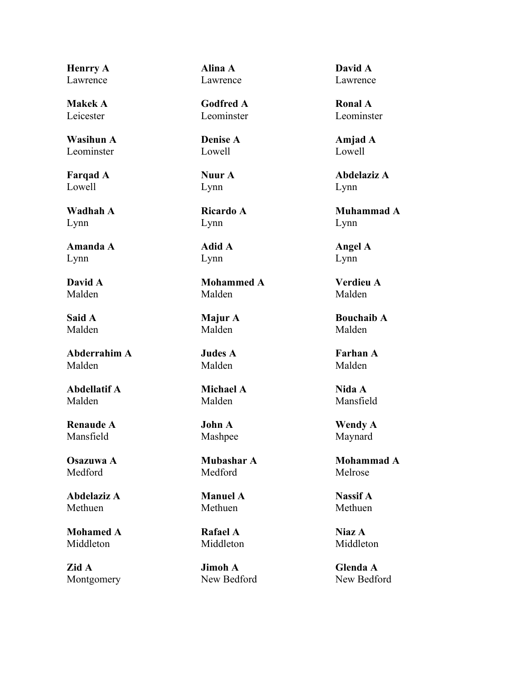**Henrry A** Lawrence

**Makek A** Leicester

**Wasihun A** Leominster

**Farqad A** Lowell

**Wadhah A** Lynn

**Amanda A** Lynn

**David A** Malden

**Said A** Malden

**Abderrahim A** Malden

**Abdellatif A** Malden

**Renaude A** Mansfield

**Osazuwa A** Medford

**Abdelaziz A** Methuen

**Mohamed A** Middleton

**Zid A** Montgomery **Alina A** Lawrence

**Godfred A** Leominster

**Denise A** Lowell

**Nuur A** Lynn

**Ricardo A** Lynn

**Adid A** Lynn

**Mohammed A** Malden

**Majur A** Malden

**Judes A** Malden

**Michael A** Malden

# **John A** Mashpee

**Mubashar A** Medford

**Manuel A** Methuen

**Rafael A** Middleton

**Jimoh A** New Bedford **David A** Lawrence

**Ronal A** Leominster

**Amjad A** Lowell

**Abdelaziz A** Lynn

**Muhammad A** Lynn

**Angel A** Lynn

**Verdieu A** Malden

**Bouchaib A** Malden

**Farhan A** Malden

**Nida A** Mansfield

**Wendy A** Maynard

**Mohammad A** Melrose

**Nassif A** Methuen

**Niaz A** Middleton

**Glenda A** New Bedford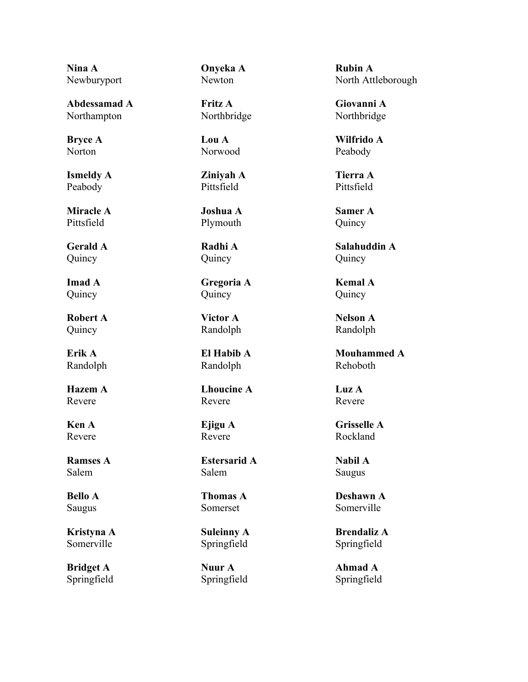**Nina A** Newburyport

**Abdessamad A** Northampton

**Bryce A** Norton

**Ismeldy A** Peabody

**Miracle A** Pittsfield

**Gerald A** Quincy

**Imad A** Quincy

**Robert A** Quincy

**Erik A** Randolph

**Hazem A** Revere

**Ken A** Revere

**Ramses A** Salem

**Bello A** Saugus

**Kristyna A** Somerville

**Bridget A** Springfield **Onyeka A** Newton

**Fritz A** Northbridge

**Lou A** Norwood

**Ziniyah A** Pittsfield

**Joshua A** Plymouth

**Radhi A** Quincy

**Gregoria A** Quincy

**Victor A** Randolph

**El Habib A** Randolph

**Lhoucine A** Revere

### **Ejigu A** Revere

**Estersarid A** Salem

**Thomas A** Somerset

**Suleinny A** Springfield

**Nuur A** Springfield **Rubin A** North Attleborough

**Giovanni A** Northbridge

**Wilfrido A** Peabody

**Tierra A** Pittsfield

**Samer A** Quincy

**Salahuddin A** Quincy

**Kemal A** Quincy

**Nelson A** Randolph

**Mouhammed A** Rehoboth

**Luz A** Revere

**Grisselle A** Rockland

**Nabil A** Saugus

**Deshawn A** Somerville

**Brendaliz A** Springfield

**Ahmad A** Springfield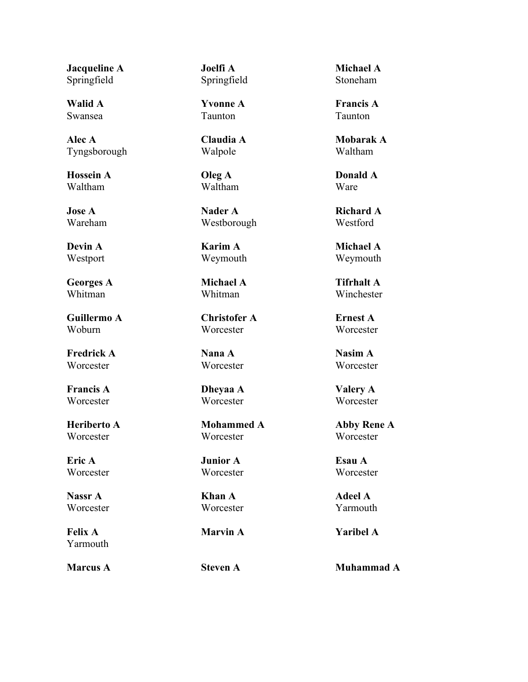**Jacqueline A** Springfield

**Walid A** Swansea

**Alec A** Tyngsborough

**Hossein A** Waltham

**Jose A** Wareham

**Devin A** Westport

**Georges A** Whitman

**Guillermo A** Woburn

**Fredrick A** Worcester

**Francis A Worcester** 

**Heriberto A Worcester** 

**Eric A Worcester** 

**Nassr A Worcester** 

**Felix A** Yarmouth **Joelfi A** Springfield

**Yvonne A** Taunton

**Claudia A** Walpole

**Oleg A** Waltham

**Nader A** Westborough

**Karim A** Weymouth

**Michael A** Whitman

**Christofer A Worcester** 

**Nana A** Worcester

**Dheyaa A Worcester** 

**Mohammed A Worcester** 

**Junior A Worcester** 

**Khan A** Worcester

**Michael A** Stoneham

**Francis A** Taunton

**Mobarak A** Waltham

**Donald A** Ware

**Richard A** Westford

**Michael A** Weymouth

**Tifrhalt A** Winchester

**Ernest A Worcester** 

**Nasim A** Worcester

**Valery A Worcester** 

**Abby Rene A** Worcester

**Esau A Worcester** 

**Adeel A** Yarmouth

**Marvin A Yaribel A**

**Marcus A Steven A Muhammad A**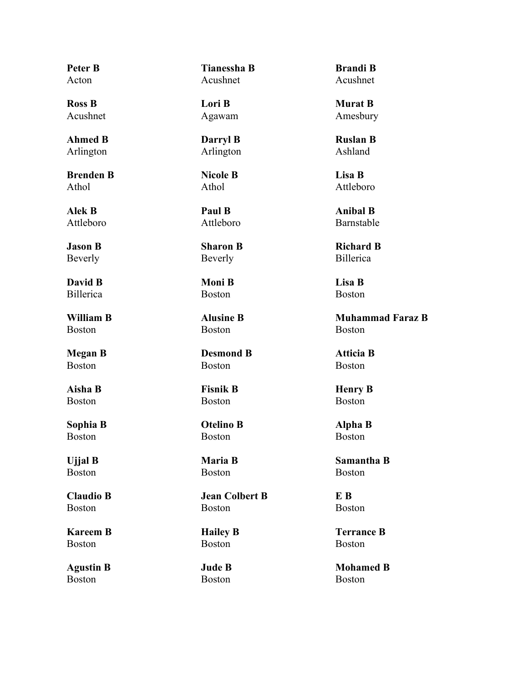**Peter B** Acton

**Ross B** Acushnet

**Ahmed B** Arlington

**Brenden B** Athol

**Alek B** Attleboro

**Jason B** Beverly

**David B** Billerica

**William B** Boston

**Megan B** Boston

**Aisha B** Boston

**Sophia B** Boston

**Ujjal B** Boston

**Claudio B** Boston

**Kareem B** Boston

**Agustin B** Boston

**Tianessha B** Acushnet

**Lori B** Agawam

**Darryl B** Arlington

**Nicole B** Athol

**Paul B** Attleboro

**Sharon B** Beverly

**Moni B** Boston

**Alusine B** Boston

**Desmond B** Boston

**Fisnik B** Boston

**Otelino B** Boston

**Maria B** Boston

**Jean Colbert B** Boston

**Hailey B** Boston

**Jude B** Boston

**Brandi B** Acushnet

**Murat B** Amesbury

**Ruslan B** Ashland

**Lisa B** Attleboro

**Anibal B** Barnstable

**Richard B** Billerica

**Lisa B** Boston

**Muhammad Faraz B** Boston

**Atticia B** Boston

**Henry B** Boston

**Alpha B** Boston

**Samantha B** Boston

**E B** Boston

**Terrance B** Boston

**Mohamed B** Boston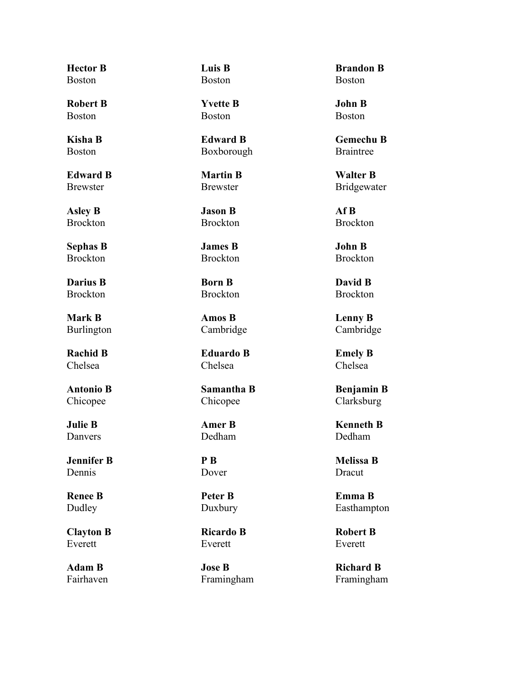**Hector B** Boston

**Robert B** Boston

**Kisha B** Boston

**Edward B** Brewster

**Asley B** Brockton

**Sephas B** Brockton

**Darius B** Brockton

**Mark B** Burlington

**Rachid B** Chelsea

**Antonio B** Chicopee

**Julie B** Danvers

**Jennifer B** Dennis

**Renee B** Dudley

**Clayton B** Everett

**Adam B** Fairhaven **Luis B** Boston

**Yvette B** Boston

**Edward B** Boxborough

**Martin B** Brewster

**Jason B** Brockton

**James B** Brockton

**Born B** Brockton

**Amos B** Cambridge

**Eduardo B** Chelsea

**Samantha B** Chicopee

# **Amer B** Dedham

**P B** Dover

**Peter B** Duxbury

**Ricardo B** Everett

**Jose B** Framingham

**Brandon B** Boston

**John B** Boston

**Gemechu B** Braintree

**Walter B** Bridgewater

**Af B** Brockton

**John B** Brockton

**David B** Brockton

**Lenny B** Cambridge

**Emely B** Chelsea

**Benjamin B** Clarksburg

**Kenneth B** Dedham

**Melissa B** Dracut

**Emma B** Easthampton

**Robert B** Everett

**Richard B** Framingham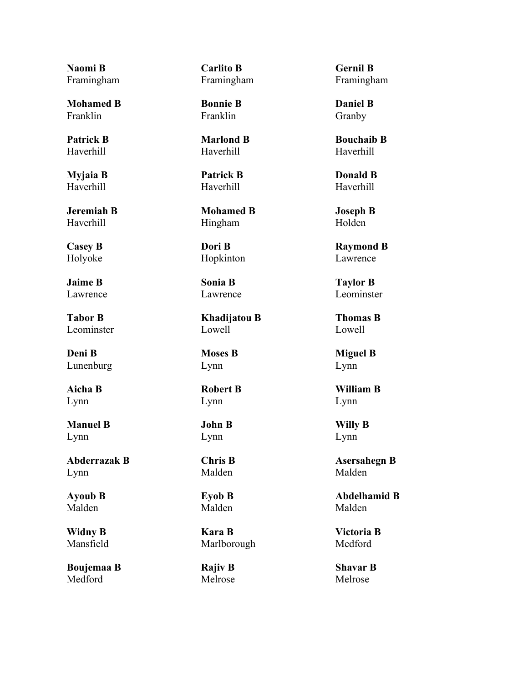**Naomi B** Framingham

**Mohamed B** Franklin

**Patrick B** Haverhill

**Myjaia B** Haverhill

**Jeremiah B** Haverhill

**Casey B** Holyoke

**Jaime B** Lawrence

**Tabor B** Leominster

**Deni B** Lunenburg

**Aicha B** Lynn

**Manuel B** Lynn

**Abderrazak B** Lynn

**Ayoub B** Malden

**Widny B** Mansfield

**Boujemaa B** Medford

**Carlito B** Framingham

**Bonnie B** Franklin

**Marlond B** Haverhill

**Patrick B** Haverhill

**Mohamed B** Hingham

**Dori B** Hopkinton

**Sonia B** Lawrence

**Khadijatou B** Lowell

**Moses B** Lynn

**Robert B** Lynn

**John B** Lynn

**Chris B** Malden

**Eyob B** Malden

**Kara B** Marlborough

**Rajiv B** Melrose **Gernil B** Framingham

**Daniel B** Granby

**Bouchaib B** Haverhill

**Donald B** Haverhill

**Joseph B** Holden

**Raymond B** Lawrence

**Taylor B** Leominster

**Thomas B** Lowell

**Miguel B** Lynn

**William B** Lynn

**Willy B** Lynn

**Asersahegn B** Malden

**Abdelhamid B** Malden

**Victoria B** Medford

**Shavar B** Melrose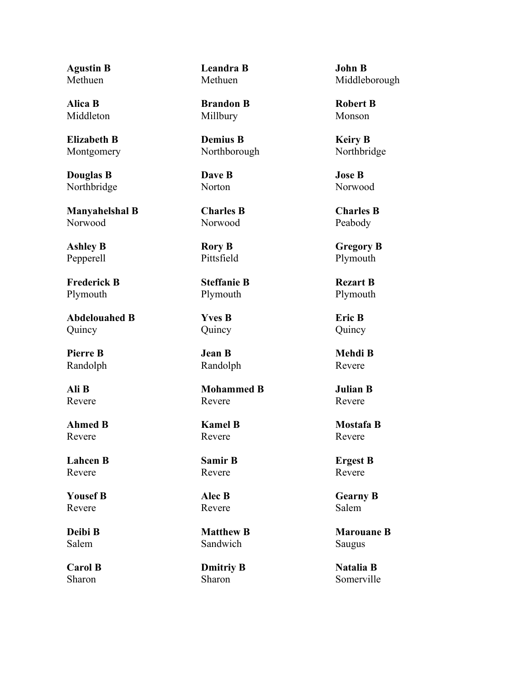**Agustin B** Methuen

**Alica B** Middleton

**Elizabeth B** Montgomery

**Douglas B** Northbridge

**Manyahelshal B** Norwood

**Ashley B** Pepperell

**Frederick B** Plymouth

**Abdelouahed B** Quincy

**Pierre B** Randolph

**Ali B** Revere

**Ahmed B** Revere

**Lahcen B** Revere

**Yousef B** Revere

**Deibi B** Salem

**Carol B** Sharon

**Leandra B** Methuen

**Brandon B** Millbury

**Demius B** Northborough

**Dave B Norton** 

**Charles B** Norwood

**Rory B Pittsfield** 

**Steffanie B** Plymouth

**Yves B** Quincy

**Jean B** Randolph

**Mohammed B** Revere

**Kamel B** Revere

**Samir B** Revere

**Alec B** Revere

**Matthew B** Sandwich

**Dmitriy B** Sharon

**John B** Middleborough

**Robert B** Monson

**Keiry B** Northbridge

**Jose B** Norwood

**Charles B** Peabody

**Gregory B** Plymouth

**Rezart B** Plymouth

**Eric B** Quincy

**Mehdi B** Revere

**Julian B** Revere

**Mostafa B** Revere

**Ergest B** Revere

**Gearny B** Salem

**Marouane B** Saugus

**Natalia B** Somerville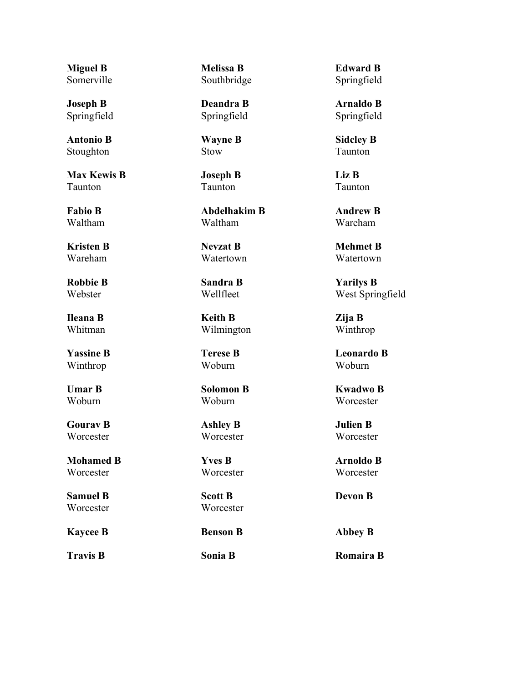**Miguel B** Somerville

**Joseph B** Springfield

**Antonio B** Stoughton

**Max Kewis B** Taunton

**Fabio B** Waltham

**Kristen B** Wareham

**Robbie B** Webster

**Ileana B** Whitman

**Yassine B** Winthrop

**Umar B** Woburn

**Gourav B** Worcester

**Mohamed B Worcester** 

**Samuel B Worcester** 

**Kaycee B Benson B Abbey B**

**Melissa B** Southbridge

**Deandra B** Springfield

**Wayne B** Stow

**Joseph B** Taunton

**Abdelhakim B** Waltham

**Nevzat B** Watertown

**Sandra B** Wellfleet

**Keith B** Wilmington

**Terese B** Woburn

**Solomon B** Woburn

**Ashley B Worcester** 

**Yves B Worcester** 

**Scott B** Worcester

**Edward B** Springfield

**Arnaldo B** Springfield

**Sidcley B** Taunton

**Liz B** Taunton

**Andrew B** Wareham

**Mehmet B** Watertown

**Yarilys B** West Springfield

**Zija B** Winthrop

**Leonardo B** Woburn

**Kwadwo B Worcester** 

**Julien B** Worcester

**Arnoldo B Worcester** 

**Devon B**

**Travis B Sonia B Romaira B**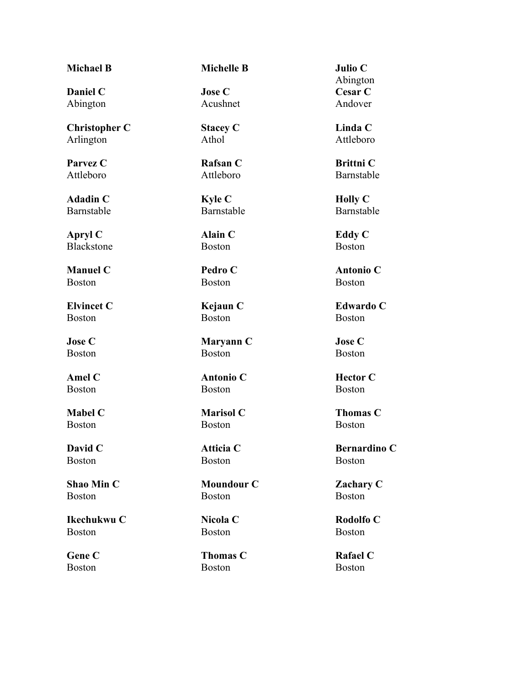**Daniel C** Abington

**Christopher C** Arlington

**Parvez C** Attleboro

**Adadin C** Barnstable

**Apryl C** Blackstone

**Manuel C** Boston

**Elvincet C** Boston

**Jose C** Boston

**Amel C** Boston

**Mabel C** Boston

**David C** Boston

**Shao Min C** Boston

**Ikechukwu C** Boston

**Gene C** Boston

**Michael B Michelle B Julio C**

**Jose C** Acushnet

**Stacey C** Athol

**Rafsan C** Attleboro

**Kyle C** Barnstable

**Alain C** Boston

**Pedro C** Boston

**Kejaun C** Boston

**Maryann C** Boston

**Antonio C** Boston

**Marisol C** Boston

**Atticia C** Boston

**Moundour C** Boston

**Nicola C** Boston

**Thomas C** Boston

Abington **Cesar C** Andover

**Linda C** Attleboro

**Brittni C** Barnstable

**Holly C** Barnstable

**Eddy C** Boston

**Antonio C** Boston

**Edwardo C** Boston

**Jose C** Boston

**Hector C** Boston

**Thomas C** Boston

**Bernardino C** Boston

**Zachary C** Boston

**Rodolfo C** Boston

**Rafael C** Boston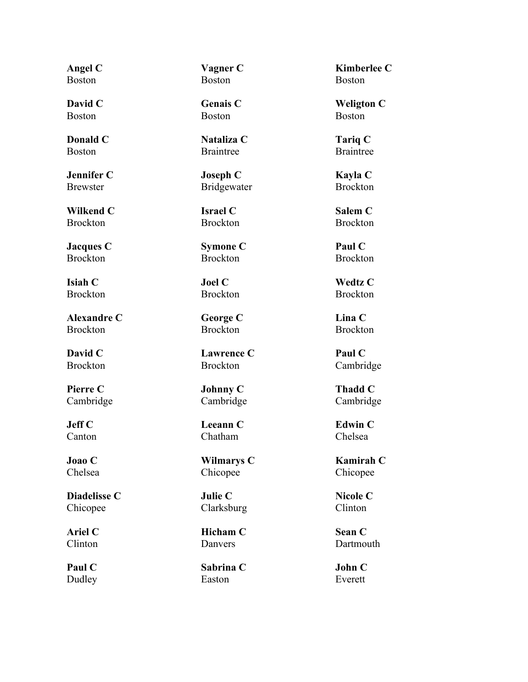**Angel C** Boston

**David C** Boston

**Donald C** Boston

**Jennifer C** Brewster

**Wilkend C** Brockton

**Jacques C** Brockton

**Isiah C** Brockton

**Alexandre C** Brockton

**David C** Brockton

**Pierre C** Cambridge

**Jeff C** Canton

**Joao C** Chelsea

**Diadelisse C** Chicopee

**Ariel C** Clinton

**Paul C** Dudley **Vagner C** Boston

**Genais C** Boston

**Nataliza C** Braintree

**Joseph C** Bridgewater

**Israel C** Brockton

**Symone C** Brockton

**Joel C** Brockton

**George C** Brockton

**Lawrence C** Brockton

**Johnny C** Cambridge

**Leeann C** Chatham

**Wilmarys C** Chicopee

**Julie C** Clarksburg

**Hicham C Danvers** 

**Sabrina C** Easton

**Kimberlee C** Boston

**Weligton C** Boston

**Tariq C** Braintree

**Kayla C** Brockton

**Salem C** Brockton

**Paul C** Brockton

**Wedtz C** Brockton

**Lina C** Brockton

**Paul C** Cambridge

**Thadd C** Cambridge

**Edwin C** Chelsea

**Kamirah C** Chicopee

**Nicole C** Clinton

**Sean C** Dartmouth

**John C** Everett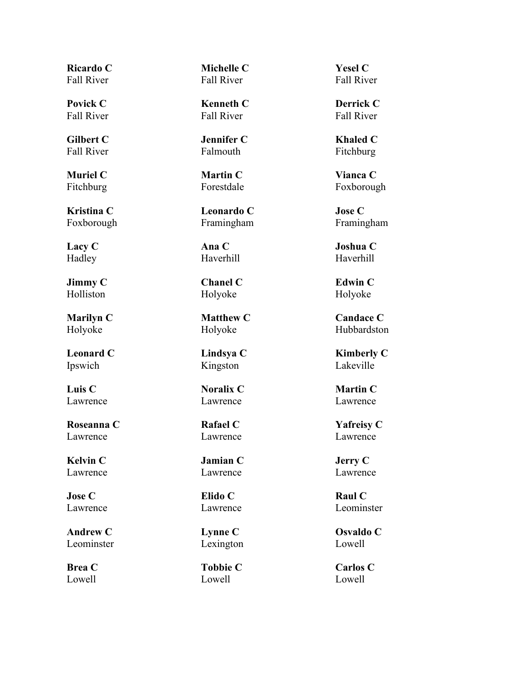**Ricardo C** Fall River

**Povick C** Fall River

**Gilbert C** Fall River

**Muriel C** Fitchburg

**Kristina C** Foxborough

**Lacy C** Hadley

**Jimmy C** Holliston

**Marilyn C** Holyoke

**Leonard C** Ipswich

**Luis C** Lawrence

**Roseanna C** Lawrence

**Kelvin C** Lawrence

**Jose C** Lawrence

**Andrew C** Leominster

**Brea C** Lowell

**Michelle C** Fall River

**Kenneth C** Fall River

**Jennifer C** Falmouth

**Martin C** Forestdale

**Leonardo C** Framingham

**Ana C** Haverhill

**Chanel C** Holyoke

**Matthew C** Holyoke

**Lindsya C** Kingston

**Noralix C** Lawrence

**Rafael C** Lawrence

**Jamian C** Lawrence

**Elido C** Lawrence

**Lynne C** Lexington

**Tobbie C** Lowell

**Yesel C** Fall River

**Derrick C** Fall River

**Khaled C** Fitchburg

**Vianca C** Foxborough

**Jose C** Framingham

**Joshua C** Haverhill

**Edwin C** Holyoke

**Candace C** Hubbardston

**Kimberly C** Lakeville

**Martin C** Lawrence

**Yafreisy C** Lawrence

**Jerry C** Lawrence

**Raul C** Leominster

**Osvaldo C** Lowell

**Carlos C** Lowell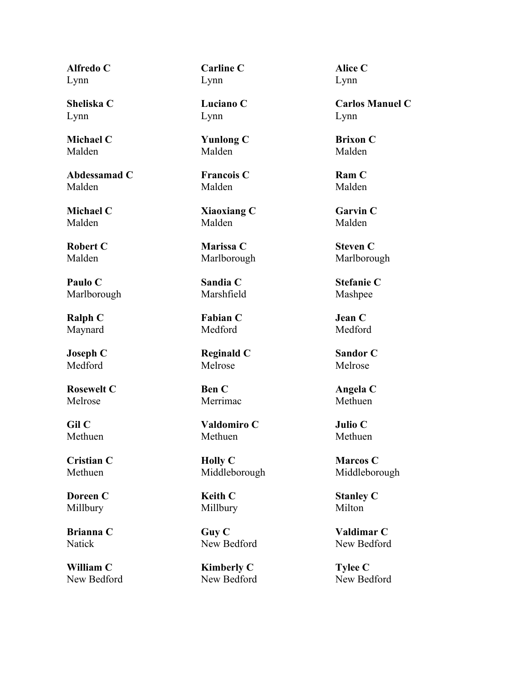**Alfredo C** Lynn

**Sheliska C** Lynn

**Michael C** Malden

**Abdessamad C** Malden

**Michael C** Malden

**Robert C** Malden

**Paulo C** Marlborough

**Ralph C** Maynard

**Joseph C** Medford

**Rosewelt C** Melrose

**Gil C** Methuen

**Cristian C** Methuen

**Doreen C** Millbury

**Brianna C** Natick

**William C** New Bedford **Carline C** Lynn

**Luciano C** Lynn

**Yunlong C** Malden

**Francois C** Malden

**Xiaoxiang C** Malden

**Marissa C** Marlborough

**Sandia C** Marshfield

**Fabian C** Medford

**Reginald C** Melrose

**Ben C** Merrimac

**Valdomiro C** Methuen

**Holly C** Middleborough

**Keith C** Millbury

**Guy C** New Bedford

**Kimberly C** New Bedford **Alice C** Lynn

**Carlos Manuel C** Lynn

**Brixon C** Malden

**Ram C** Malden

**Garvin C** Malden

**Steven C** Marlborough

**Stefanie C** Mashpee

**Jean C** Medford

**Sandor C** Melrose

**Angela C** Methuen

**Julio C** Methuen

**Marcos C** Middleborough

**Stanley C** Milton

**Valdimar C** New Bedford

**Tylee C** New Bedford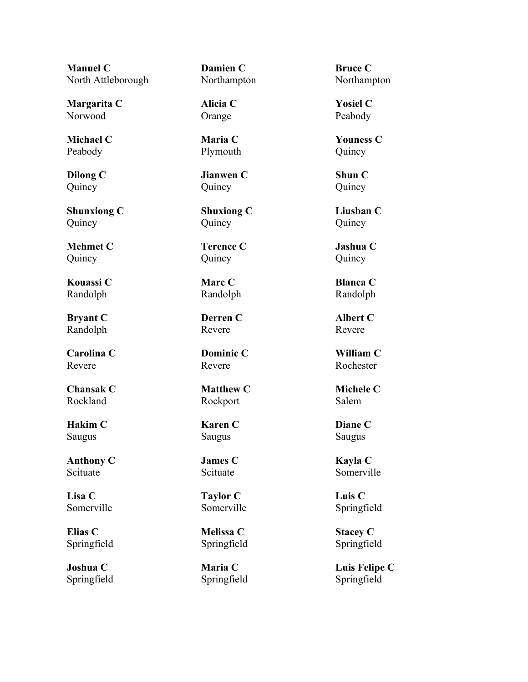**Manuel C** North Attleborough

**Margarita C** Norwood

**Michael C** Peabody

**Dilong C** Quincy

**Shunxiong C** Quincy

**Mehmet C** Quincy

**Kouassi C** Randolph

**Bryant C** Randolph

**Carolina C** Revere

**Chansak C** Rockland

**Hakim C** Saugus

**Anthony C** Scituate

**Lisa C** Somerville

**Elias C** Springfield

**Joshua C** Springfield **Damien C** Northampton

**Alicia C** Orange

**Maria C** Plymouth

**Jianwen C** Quincy

**Shuxiong C** Quincy

**Terence C** Quincy

**Marc C** Randolph

**Derren C** Revere

**Dominic C** Revere

**Matthew C** Rockport

### **Karen C** Saugus

**James C** Scituate

**Taylor C** Somerville

**Melissa C** Springfield

**Maria C** Springfield

**Bruce C** Northampton

**Yosiel C** Peabody

**Youness C** Quincy

**Shun C** Quincy

**Liusban C** Quincy

**Jashua C** Quincy

**Blanca C** Randolph

**Albert C** Revere

**William C** Rochester

**Michele C** Salem

**Diane C** Saugus

**Kayla C** Somerville

**Luis C** Springfield

**Stacey C** Springfield

**Luis Felipe C** Springfield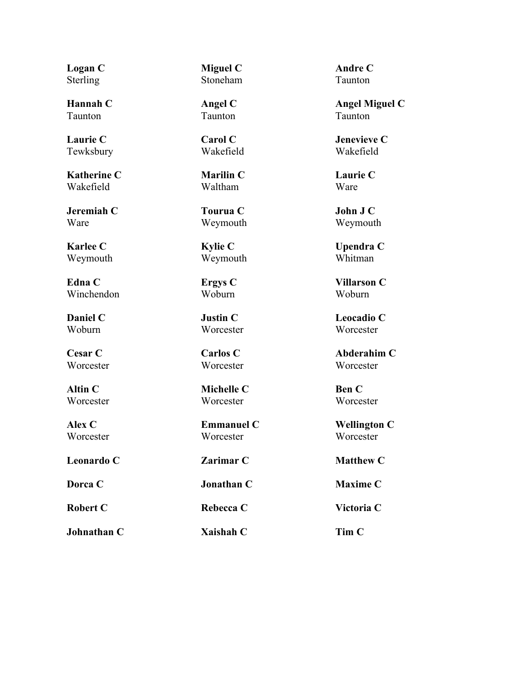**Logan C** Sterling

**Hannah C** Taunton

**Laurie C** Tewksbury

**Katherine C** Wakefield

**Jeremiah C** Ware

**Karlee C** Weymouth

**Edna C** Winchendon

**Daniel C** Woburn

**Cesar C** Worcester

**Altin C Worcester** 

**Alex C Worcester** 

**Johnathan C Xaishah C Tim C**

**Miguel C** Stoneham

**Angel C** Taunton

**Carol C** Wakefield

**Marilin C** Waltham

**Tourua C** Weymouth

**Kylie C** Weymouth

**Ergys C** Woburn

**Justin C** Worcester

**Carlos C** Worcester

**Michelle C Worcester** 

**Emmanuel C Worcester** 

**Andre C** Taunton

**Angel Miguel C** Taunton

**Jenevieve C** Wakefield

**Laurie C** Ware

**John J C** Weymouth

**Upendra C** Whitman

**Villarson C** Woburn

**Leocadio C Worcester** 

**Abderahim C** Worcester

**Ben C Worcester** 

**Wellington C Worcester** 

**Leonardo C Zarimar C Matthew C**

**Dorca C C C C Donathan C C Maxime C** 

**Robert C Rebecca C Victoria C**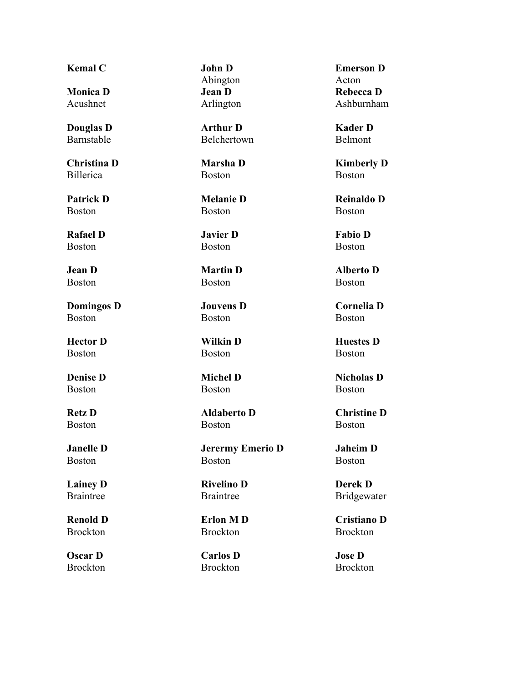# **Kemal C John D**

**Monica D** Acushnet

**Douglas D** Barnstable

**Christina D** Billerica

**Patrick D** Boston

**Rafael D** Boston

**Jean D** Boston

**Domingos D** Boston

**Hector D** Boston

**Denise D** Boston

**Retz D** Boston

**Janelle D** Boston

**Lainey D** Braintree

**Renold D** Brockton

**Oscar D** Brockton Abington **Jean D** Arlington

**Arthur D** Belchertown

**Marsha D** Boston

**Melanie D** Boston

**Javier D** Boston

**Martin D** Boston

**Jouvens D** Boston

**Wilkin D** Boston

**Michel D** Boston

**Aldaberto D** Boston

**Jerermy Emerio D** Boston

**Rivelino D** Braintree

**Erlon M D** Brockton

**Carlos D** Brockton

**Emerson D** Acton **Rebecca D** Ashburnham

**Kader D** Belmont

**Kimberly D** Boston

**Reinaldo D** Boston

**Fabio D** Boston

**Alberto D** Boston

**Cornelia D** Boston

**Huestes D** Boston

**Nicholas D** Boston

**Christine D** Boston

**Jaheim D** Boston

**Derek D** Bridgewater

**Cristiano D** Brockton

**Jose D** Brockton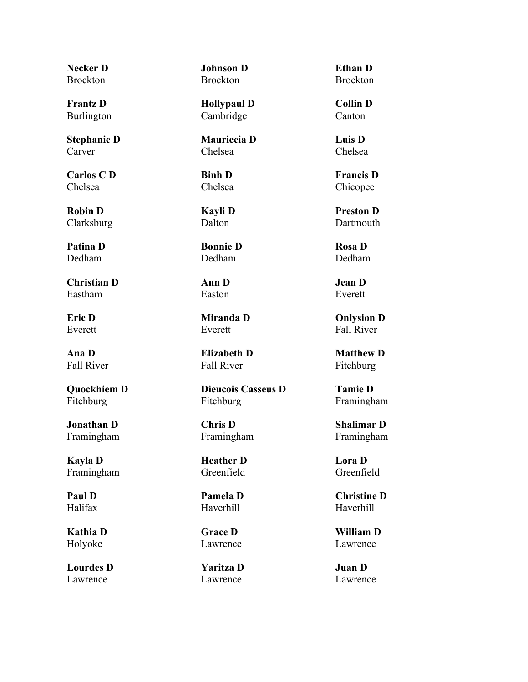**Necker D Brockton** 

**Frantz D** Burlington

**Stephanie D** Carver

**Carlos C D** Chelsea

**Robin D** Clarksburg

**Patina D** Dedham

**Christian D** Eastham

**Eric D** Everett

**Ana D** Fall River

**Quockhiem D** Fitchburg

**Jonathan D** Framingham

**Kayla D** Framingham

**Paul D** Halifax

**Kathia D** Holyoke

**Lourdes D** Lawrence

**Johnson D** Brockton

**Hollypaul D** Cambridge

**Mauriceia D** Chelsea

**Binh D** Chelsea

**Kayli D** Dalton

**Bonnie D** Dedham

**Ann D** Easton

**Miranda D** Everett

**Elizabeth D** Fall River

**Dieucois Casseus D** Fitchburg

**Chris D** Framingham

**Heather D** Greenfield

**Pamela D** Haverhill

**Grace D** Lawrence

**Yaritza D** Lawrence

**Ethan D Brockton** 

**Collin D** Canton

**Luis D** Chelsea

**Francis D** Chicopee

**Preston D** Dartmouth

**Rosa D** Dedham

**Jean D** Everett

**Onlysion D** Fall River

**Matthew D** Fitchburg

**Tamie D** Framingham

**Shalimar D** Framingham

**Lora D** Greenfield

**Christine D** Haverhill

**William D** Lawrence

**Juan D** Lawrence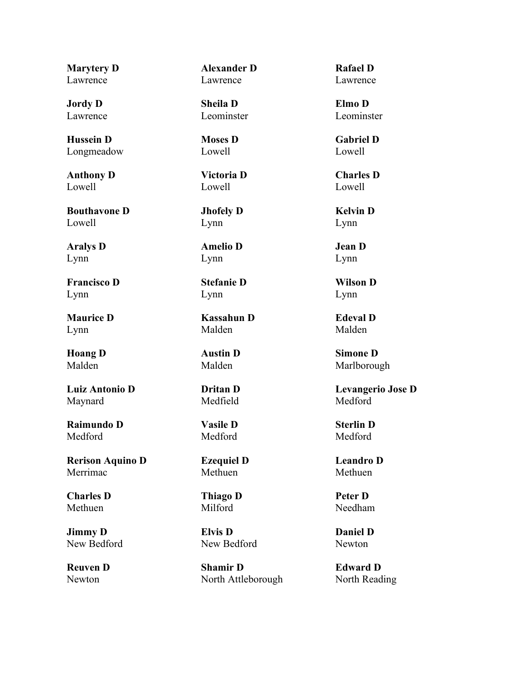**Marytery D** Lawrence

**Jordy D** Lawrence

**Hussein D** Longmeadow

**Anthony D** Lowell

**Bouthavone D** Lowell

**Aralys D** Lynn

**Francisco D** Lynn

**Maurice D** Lynn

**Hoang D** Malden

**Luiz Antonio D** Maynard

**Raimundo D** Medford

**Rerison Aquino D** Merrimac

**Charles D** Methuen

**Jimmy D** New Bedford

**Reuven D** Newton

**Alexander D** Lawrence

**Sheila D** Leominster

**Moses D** Lowell

**Victoria D** Lowell

**Jhofely D** Lynn

**Amelio D** Lynn

**Stefanie D** Lynn

**Kassahun D** Malden

**Austin D** Malden

**Dritan D** Medfield

**Vasile D** Medford

**Ezequiel D** Methuen

**Thiago D** Milford

**Elvis D** New Bedford

**Shamir D** North Attleborough

**Rafael D** Lawrence

**Elmo D** Leominster

**Gabriel D** Lowell

**Charles D** Lowell

**Kelvin D** Lynn

**Jean D** Lynn

**Wilson D** Lynn

**Edeval D** Malden

**Simone D** Marlborough

**Levangerio Jose D** Medford

**Sterlin D** Medford

**Leandro D** Methuen

**Peter D** Needham

**Daniel D** Newton

**Edward D** North Reading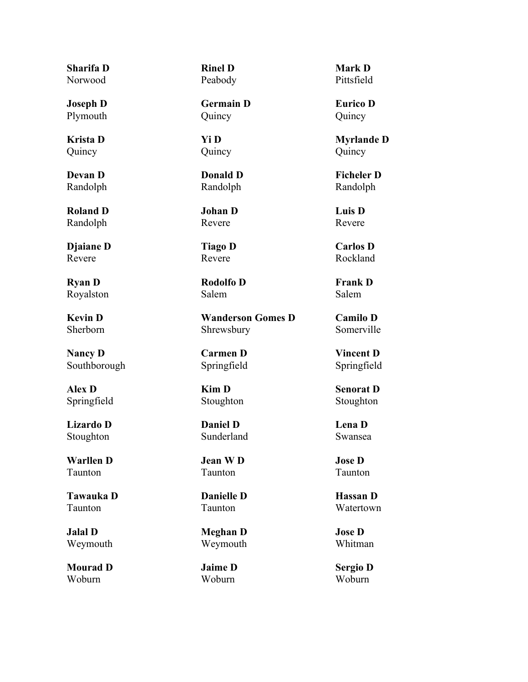**Sharifa D** Norwood

**Joseph D** Plymouth

**Krista D** Quincy

**Devan D** Randolph

**Roland D** Randolph

**Djaiane D** Revere

**Ryan D** Royalston

**Kevin D** Sherborn

**Nancy D** Southborough

**Alex D** Springfield

**Lizardo D** Stoughton

**Warllen D** Taunton

**Tawauka D** Taunton

**Jalal D** Weymouth

**Mourad D** Woburn

**Rinel D** Peabody

**Germain D** Quincy

**Yi D** Quincy

**Donald D** Randolph

**Johan D** Revere

**Tiago D** Revere

**Rodolfo D** Salem

**Wanderson Gomes D** Shrewsbury

**Carmen D** Springfield

**Kim D** Stoughton

**Daniel D** Sunderland

**Jean W D** Taunton

**Danielle D** Taunton

**Meghan D** Weymouth

**Jaime D** Woburn

**Mark D** Pittsfield

**Eurico D** Quincy

**Myrlande D** Quincy

**Ficheler D** Randolph

**Luis D** Revere

**Carlos D** Rockland

**Frank D** Salem

**Camilo D** Somerville

**Vincent D** Springfield

**Senorat D** Stoughton

**Lena D** Swansea

**Jose D** Taunton

**Hassan D** Watertown

**Jose D** Whitman

**Sergio D** Woburn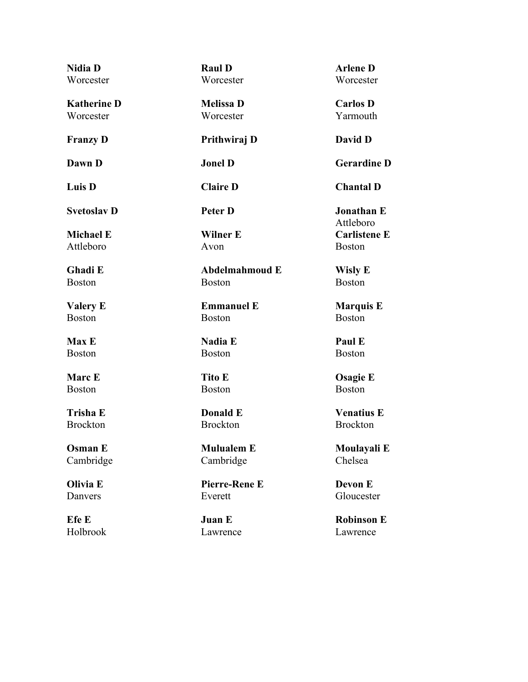| <b>Nidia D</b>     | <b>Raul D</b>        | <b>Arlene D</b>                |
|--------------------|----------------------|--------------------------------|
| Worcester          | Worcester            | Worcester                      |
| <b>Katherine D</b> | <b>Melissa D</b>     | <b>Carlos D</b>                |
| Worcester          | Worcester            | Yarmouth                       |
| <b>Franzy D</b>    | Prithwiraj D         | David D                        |
| Dawn D             | <b>Jonel D</b>       | <b>Gerardine D</b>             |
| Luis D             | <b>Claire D</b>      | <b>Chantal D</b>               |
| <b>Svetoslav D</b> | <b>Peter D</b>       | <b>Jonathan E</b><br>Attleboro |
| <b>Michael E</b>   | <b>Wilner E</b>      | <b>Carlistene E</b>            |
| Attleboro          | Avon                 | <b>Boston</b>                  |
| Ghadi E            | Abdelmahmoud E       | <b>Wisly E</b>                 |
| <b>Boston</b>      | <b>Boston</b>        | <b>Boston</b>                  |
| <b>Valery E</b>    | <b>Emmanuel E</b>    | <b>Marquis E</b>               |
| <b>Boston</b>      | <b>Boston</b>        | <b>Boston</b>                  |
| <b>Max E</b>       | <b>Nadia E</b>       | Paul E                         |
| <b>Boston</b>      | <b>Boston</b>        | <b>Boston</b>                  |
| <b>Marc</b> E      | <b>Tito E</b>        | <b>Osagie E</b>                |
| <b>Boston</b>      | <b>Boston</b>        | <b>Boston</b>                  |
| <b>Trisha E</b>    | Donald E             | <b>Venatius E</b>              |
| <b>Brockton</b>    | <b>Brockton</b>      | <b>Brockton</b>                |
| <b>Osman E</b>     | <b>Mulualem E</b>    | Moulayali E                    |
| Cambridge          | Cambridge            | Chelsea                        |
| Olivia E           | <b>Pierre-Rene E</b> | Devon E                        |
| Danvers            | Everett              | Gloucester                     |

**Efe E** Holbrook **Juan E** Lawrence **Robinson E** Lawrence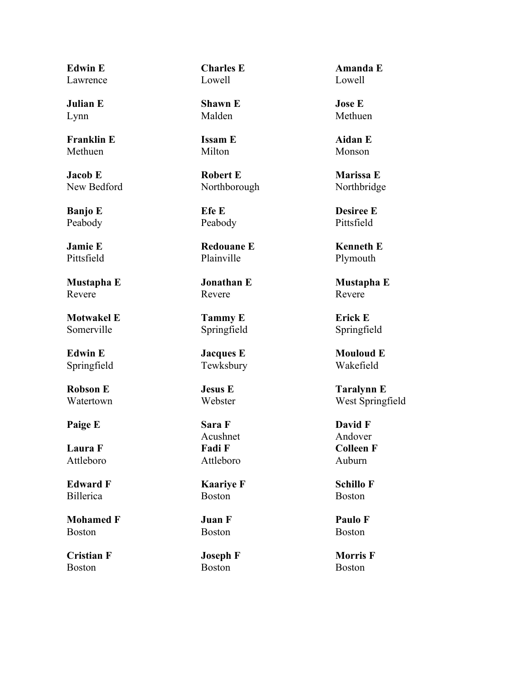**Edwin E** Lawrence

**Julian E** Lynn

**Franklin E** Methuen

**Jacob E** New Bedford

**Banjo E** Peabody

**Jamie E** Pittsfield

**Mustapha E** Revere

**Motwakel E** Somerville

**Edwin E** Springfield

**Robson E** Watertown

**Paige E Sara F**

**Laura F** Attleboro

**Edward F** Billerica

**Mohamed F** Boston

**Cristian F** Boston

**Charles E** Lowell

**Shawn E** Malden

**Issam E** Milton

**Robert E** Northborough

**Efe E** Peabody

**Redouane E** Plainville

**Jonathan E** Revere

**Tammy E** Springfield

**Jacques E** Tewksbury

**Jesus E** Webster

Acushnet **Fadi F** Attleboro

**Kaariye F** Boston

**Juan F** Boston

**Joseph F** Boston

**Amanda E** Lowell

**Jose E** Methuen

**Aidan E** Monson

**Marissa E** Northbridge

**Desiree E** Pittsfield

**Kenneth E** Plymouth

**Mustapha E** Revere

**Erick E** Springfield

**Mouloud E** Wakefield

**Taralynn E** West Springfield

**David F** Andover **Colleen F** Auburn

**Schillo F** Boston

**Paulo F** Boston

**Morris F** Boston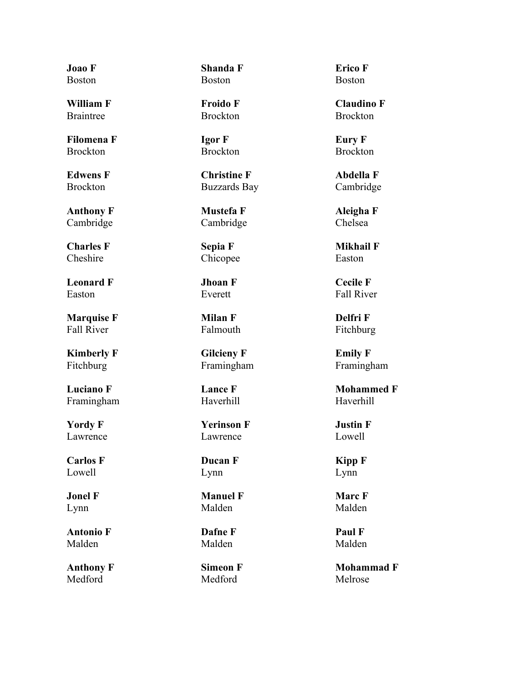**Joao F** Boston

**William F** Braintree

**Filomena F** Brockton

**Edwens F** Brockton

**Anthony F** Cambridge

**Charles F Cheshire** 

**Leonard F** Easton

**Marquise F** Fall River

**Kimberly F** Fitchburg

**Luciano F** Framingham

**Yordy F** Lawrence

**Carlos F** Lowell

**Jonel F** Lynn

**Antonio F** Malden

**Anthony F** Medford

**Shanda F** Boston

**Froido F** Brockton

**Igor F** Brockton

**Christine F** Buzzards Bay

**Mustefa F** Cambridge

**Sepia F** Chicopee

**Jhoan F** Everett

**Milan F** Falmouth

**Gilcieny F** Framingham

**Lance F** Haverhill

**Yerinson F** Lawrence

**Ducan F** Lynn

**Manuel F** Malden

**Dafne F** Malden

**Simeon F** Medford

**Erico F** Boston

**Claudino F** Brockton

**Eury F** Brockton

**Abdella F** Cambridge

**Aleigha F** Chelsea

**Mikhail F** Easton

**Cecile F** Fall River

**Delfri F** Fitchburg

**Emily F** Framingham

**Mohammed F** Haverhill

**Justin F** Lowell

**Kipp F** Lynn

**Marc F** Malden

**Paul F** Malden

**Mohammad F** Melrose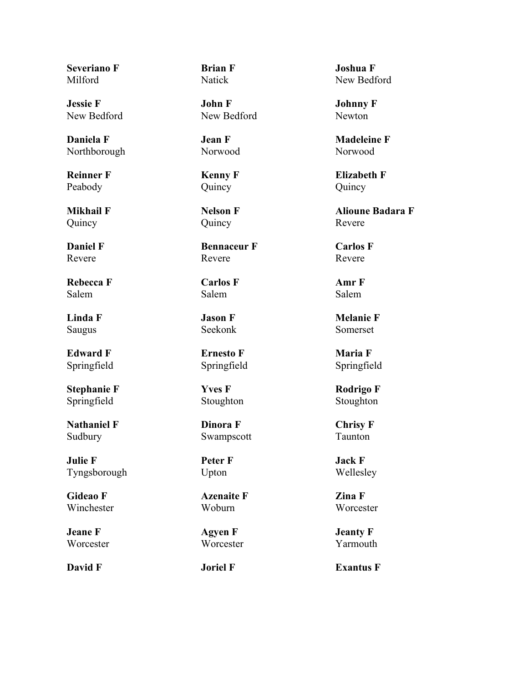**Severiano F** Milford

**Jessie F** New Bedford

**Daniela F** Northborough

**Reinner F** Peabody

**Mikhail F** Quincy

**Daniel F** Revere

**Rebecca F** Salem

**Linda F** Saugus

**Edward F** Springfield

**Stephanie F** Springfield

**Nathaniel F** Sudbury

**Julie F** Tyngsborough

**Gideao F** Winchester

**Jeane F Worcester**  **Brian F** Natick

**John F** New Bedford

**Jean F** Norwood

**Kenny F** Quincy

**Nelson F** Quincy

**Bennaceur F** Revere

**Carlos F** Salem

**Jason F** Seekonk

**Ernesto F** Springfield

**Yves F** Stoughton

**Dinora F** Swampscott

**Peter F** Upton

**Azenaite F** Woburn

**Agyen F Worcester** 

**Joshua F** New Bedford

**Johnny F** Newton

**Madeleine F** Norwood

**Elizabeth F** Quincy

**Alioune Badara F** Revere

**Carlos F** Revere

**Amr F** Salem

**Melanie F** Somerset

**Maria F** Springfield

**Rodrigo F** Stoughton

**Chrisy F** Taunton

**Jack F** Wellesley

**Zina F Worcester** 

**Jeanty F** Yarmouth

**David F I Joriel F Exantus F**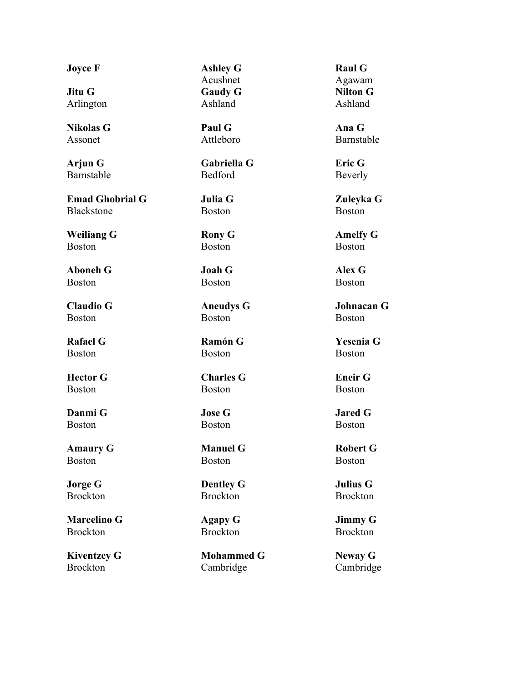**Jitu G** Arlington

**Nikolas G** Assonet

**Arjun G** Barnstable

**Emad Ghobrial G** Blackstone

**Weiliang G** Boston

**Aboneh G** Boston

**Claudio G** Boston

**Rafael G** Boston

**Hector G** Boston

**Danmi G** Boston

**Amaury G** Boston

**Jorge G** Brockton

**Marcelino G** Brockton

**Kiventzcy G** Brockton

**Joyce F Ashley G** Acushnet **Gaudy G** Ashland

> **Paul G** Attleboro

**Gabriella G** Bedford

**Julia G** Boston

**Rony G** Boston

**Joah G** Boston

**Aneudys G** Boston

**Ramón G** Boston

**Charles G** Boston

**Jose G** Boston

**Manuel G** Boston

**Dentley G** Brockton

**Agapy G** Brockton

**Mohammed G** Cambridge

**Raul G** Agawam **Nilton G** Ashland

**Ana G** Barnstable

**Eric G** Beverly

**Zuleyka G** Boston

**Amelfy G** Boston

**Alex G** Boston

**Johnacan G** Boston

**Yesenia G** Boston

**Eneir G** Boston

**Jared G** Boston

**Robert G** Boston

**Julius G** Brockton

**Jimmy G** Brockton

**Neway G** Cambridge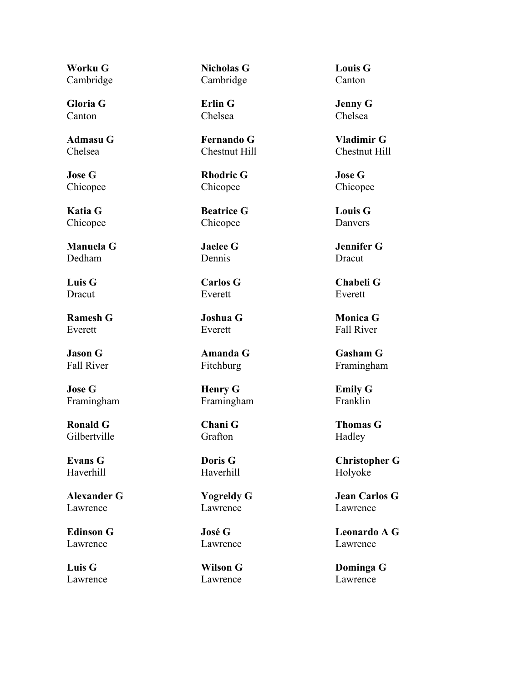**Worku G** Cambridge

**Gloria G** Canton

**Admasu G** Chelsea

**Jose G** Chicopee

**Katia G** Chicopee

**Manuela G** Dedham

**Luis G** Dracut

**Ramesh G** Everett

**Jason G** Fall River

**Jose G** Framingham

**Ronald G** Gilbertville

**Evans G** Haverhill

**Alexander G** Lawrence

**Edinson G** Lawrence

**Luis G** Lawrence **Nicholas G** Cambridge

**Erlin G** Chelsea

**Fernando G** Chestnut Hill

**Rhodric G** Chicopee

**Beatrice G** Chicopee

**Jaelee G** Dennis

**Carlos G** Everett

**Joshua G** Everett

**Amanda G** Fitchburg

**Henry G** Framingham

# **Chani G** Grafton

**Doris G** Haverhill

**Yogreldy G** Lawrence

**José G** Lawrence

**Wilson G** Lawrence

**Louis G** Canton

**Jenny G** Chelsea

**Vladimir G** Chestnut Hill

**Jose G** Chicopee

**Louis G** Danvers

**Jennifer G** Dracut

**Chabeli G** Everett

**Monica G** Fall River

**Gasham G** Framingham

**Emily G** Franklin

**Thomas G** Hadley

**Christopher G** Holyoke

**Jean Carlos G** Lawrence

**Leonardo A G** Lawrence

**Dominga G** Lawrence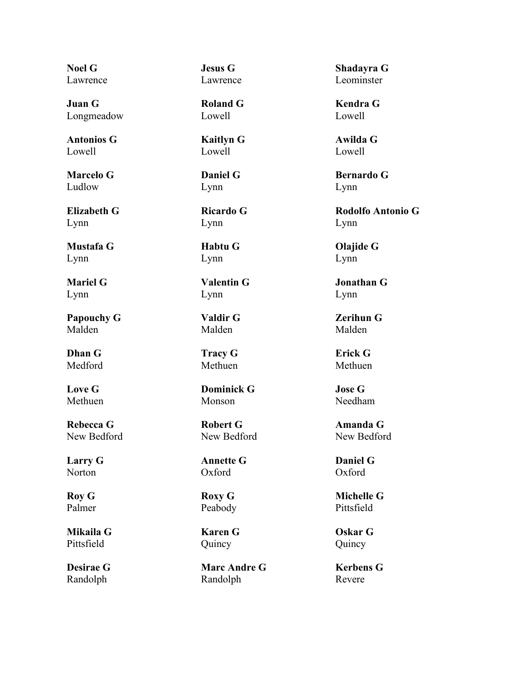**Noel G** Lawrence

**Juan G** Longmeadow

**Antonios G** Lowell

**Marcelo G** Ludlow

**Elizabeth G** Lynn

**Mustafa G** Lynn

**Mariel G** Lynn

**Papouchy G** Malden

**Dhan G** Medford

**Love G** Methuen

**Rebecca G** New Bedford

**Larry G** Norton

**Roy G** Palmer

**Mikaila G** Pittsfield

**Desirae G** Randolph

**Jesus G** Lawrence

**Roland G** Lowell

**Kaitlyn G** Lowell

**Daniel G** Lynn

**Ricardo G** Lynn

**Habtu G** Lynn

**Valentin G** Lynn

**Valdir G** Malden

**Tracy G** Methuen

**Dominick G** Monson

**Robert G** New Bedford

**Annette G** Oxford

**Roxy G** Peabody

**Karen G** Quincy

**Marc Andre G** Randolph

**Shadayra G** Leominster

**Kendra G** Lowell

**Awilda G** Lowell

**Bernardo G** Lynn

**Rodolfo Antonio G** Lynn

**Olajide G** Lynn

**Jonathan G** Lynn

**Zerihun G** Malden

**Erick G** Methuen

**Jose G** Needham

**Amanda G** New Bedford

**Daniel G** Oxford

**Michelle G** Pittsfield

**Oskar G** Quincy

**Kerbens G** Revere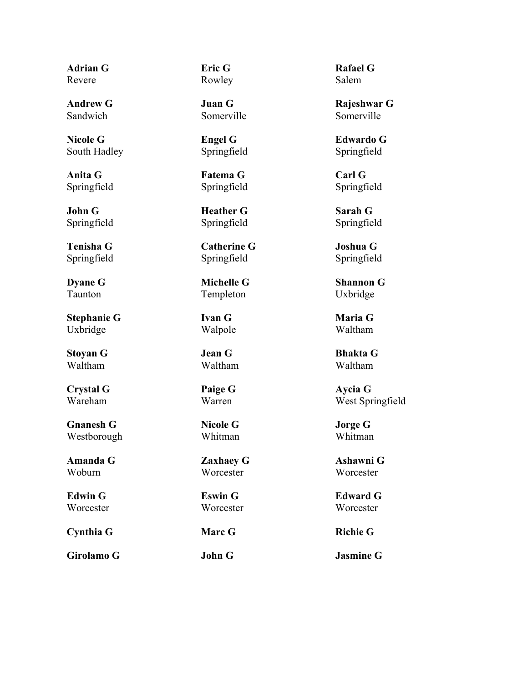**Adrian G** Revere

**Andrew G** Sandwich

**Nicole G** South Hadley

**Anita G** Springfield

**John G** Springfield

**Tenisha G** Springfield

**Dyane G** Taunton

**Stephanie G** Uxbridge

**Stoyan G** Waltham

**Crystal G** Wareham

**Gnanesh G** Westborough

**Amanda G** Woburn

**Edwin G Worcester** 

**Cynthia G Marc G Richie G**

**Girolamo G John G Jasmine G**

**Eric G** Rowley

**Juan G** Somerville

**Engel G** Springfield

**Fatema G** Springfield

**Heather G** Springfield

**Catherine G** Springfield

**Michelle G** Templeton

**Ivan G** Walpole

**Jean G** Waltham

**Paige G** Warren

**Nicole G** Whitman

**Zaxhaey G Worcester** 

**Eswin G** Worcester

**Rafael G** Salem

**Rajeshwar G** Somerville

**Edwardo G** Springfield

**Carl G** Springfield

**Sarah G** Springfield

**Joshua G** Springfield

**Shannon G** Uxbridge

**Maria G** Waltham

**Bhakta G** Waltham

**Aycia G** West Springfield

**Jorge G** Whitman

**Ashawni G Worcester** 

**Edward G Worcester**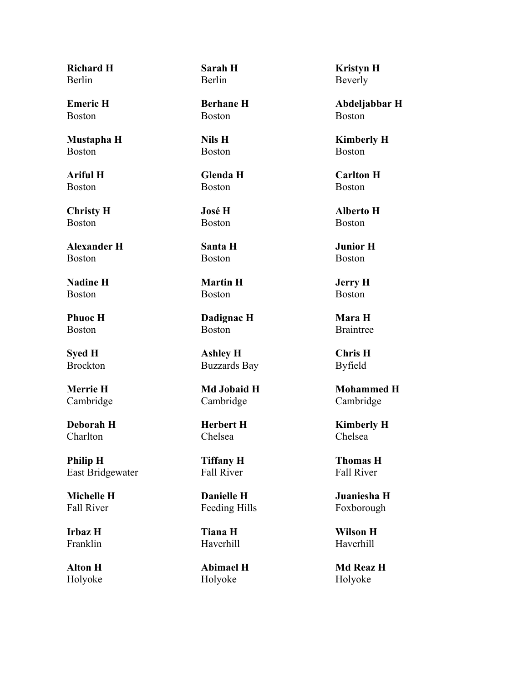**Richard H** Berlin

**Emeric H** Boston

**Mustapha H** Boston

**Ariful H** Boston

**Christy H** Boston

**Alexander H** Boston

**Nadine H** Boston

**Phuoc H** Boston

**Syed H** Brockton

**Merrie H** Cambridge

**Deborah H Charlton** 

**Philip H** East Bridgewater

**Michelle H** Fall River

**Irbaz H** Franklin

**Alton H** Holyoke **Sarah H** Berlin

**Berhane H** Boston

**Nils H** Boston

**Glenda H** Boston

**José H** Boston

**Santa H** Boston

**Martin H** Boston

**Dadignac H** Boston

**Ashley H** Buzzards Bay

**Md Jobaid H** Cambridge

**Herbert H** Chelsea

**Tiffany H** Fall River

**Danielle H** Feeding Hills

**Tiana H** Haverhill

**Abimael H** Holyoke

**Kristyn H** Beverly

**Abdeljabbar H** Boston

**Kimberly H** Boston

**Carlton H** Boston

**Alberto H** Boston

**Junior H** Boston

**Jerry H** Boston

**Mara H** Braintree

**Chris H** Byfield

**Mohammed H** Cambridge

**Kimberly H** Chelsea

**Thomas H** Fall River

**Juaniesha H** Foxborough

**Wilson H** Haverhill

**Md Reaz H** Holyoke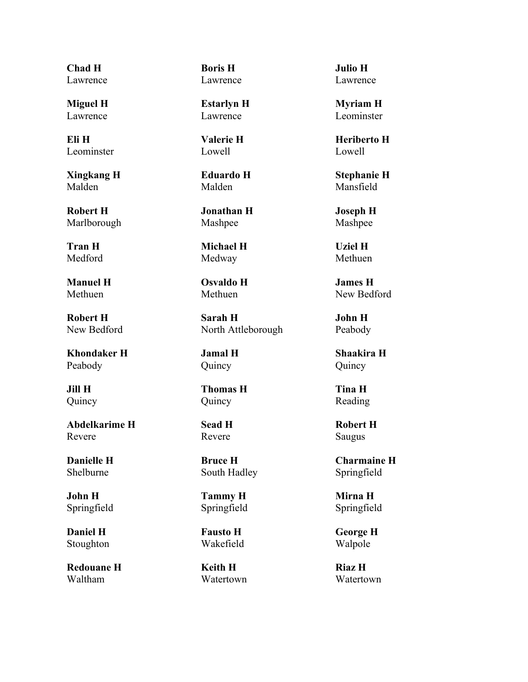**Chad H** Lawrence

**Miguel H** Lawrence

**Eli H** Leominster

**Xingkang H** Malden

**Robert H** Marlborough

**Tran H** Medford

**Manuel H** Methuen

**Robert H** New Bedford

**Khondaker H** Peabody

**Jill H** Quincy

**Abdelkarime H** Revere

**Danielle H** Shelburne

**John H** Springfield

**Daniel H** Stoughton

**Redouane H** Waltham

**Boris H** Lawrence

**Estarlyn H** Lawrence

**Valerie H** Lowell

**Eduardo H** Malden

**Jonathan H** Mashpee

**Michael H** Medway

**Osvaldo H** Methuen

**Sarah H** North Attleborough

**Jamal H** Quincy

**Thomas H** Quincy

# **Sead H** Revere

**Bruce H** South Hadley

**Tammy H** Springfield

**Fausto H** Wakefield

**Keith H** Watertown

**Julio H** Lawrence

**Myriam H** Leominster

**Heriberto H** Lowell

**Stephanie H** Mansfield

**Joseph H** Mashpee

**Uziel H** Methuen

**James H** New Bedford

**John H** Peabody

**Shaakira H** Quincy

**Tina H** Reading

**Robert H** Saugus

**Charmaine H** Springfield

**Mirna H** Springfield

**George H** Walpole

**Riaz H** Watertown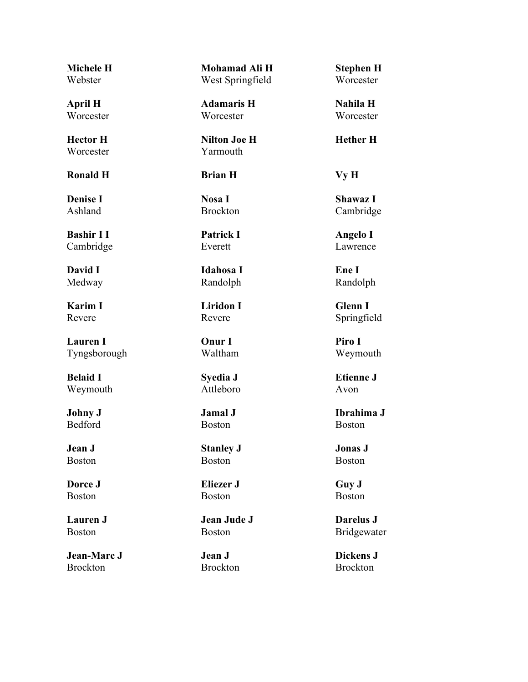**Michele H** Webster

**April H Worcester** 

**Hector H Worcester** 

**Ronald H Brian H Vy H**

**Denise I** Ashland

**Bashir I I** Cambridge

**David I** Medway

**Karim I** Revere

**Lauren I** Tyngsborough

**Belaid I** Weymouth

**Johny J** Bedford

**Jean J** Boston

**Dorce J** Boston

**Lauren J** Boston

**Jean-Marc J** Brockton

**Mohamad Ali H** West Springfield

**Adamaris H Worcester** 

**Nilton Joe H** Yarmouth

**Nosa I** Brockton

**Patrick I** Everett

**Idahosa I** Randolph

**Liridon I** Revere

**Onur I** Waltham

**Syedia J** Attleboro

**Jamal J** Boston

**Stanley J** Boston

**Eliezer J** Boston

**Jean Jude J** Boston

**Jean J** Brockton **Stephen H Worcester** 

**Nahila H Worcester** 

**Hether H**

**Shawaz I** Cambridge

**Angelo I** Lawrence

**Ene I** Randolph

**Glenn I** Springfield

**Piro I** Weymouth

**Etienne J** Avon

**Ibrahima J** Boston

**Jonas J** Boston

**Guy J** Boston

**Darelus J** Bridgewater

**Dickens J** Brockton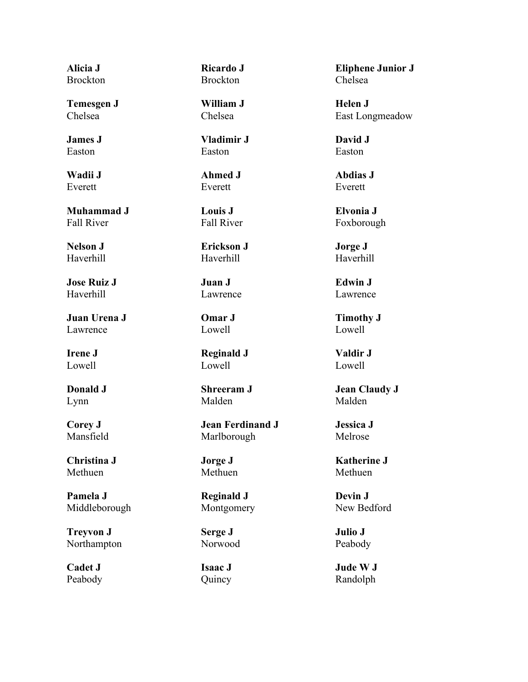**Alicia J** Brockton

**Temesgen J** Chelsea

**James J** Easton

**Wadii J** Everett

**Muhammad J** Fall River

**Nelson J** Haverhill

**Jose Ruiz J** Haverhill

**Juan Urena J** Lawrence

**Irene J** Lowell

**Donald J** Lynn

**Corey J** Mansfield

**Christina J** Methuen

**Pamela J** Middleborough

**Treyvon J** Northampton

**Cadet J** Peabody **Ricardo J** Brockton

**William J** Chelsea

**Vladimir J** Easton

**Ahmed J** Everett

**Louis J** Fall River

**Erickson J** Haverhill

**Juan J** Lawrence

**Omar J** Lowell

**Reginald J** Lowell

**Shreeram J** Malden

**Jean Ferdinand J** Marlborough

**Jorge J** Methuen

**Reginald J** Montgomery

**Serge J** Norwood

**Isaac J** Quincy

**Eliphene Junior J** Chelsea

**Helen J** East Longmeadow

**David J** Easton

**Abdias J** Everett

**Elvonia J** Foxborough

**Jorge J** Haverhill

**Edwin J** Lawrence

**Timothy J** Lowell

**Valdir J** Lowell

**Jean Claudy J** Malden

**Jessica J** Melrose

**Katherine J** Methuen

**Devin J** New Bedford

**Julio J** Peabody

**Jude W J** Randolph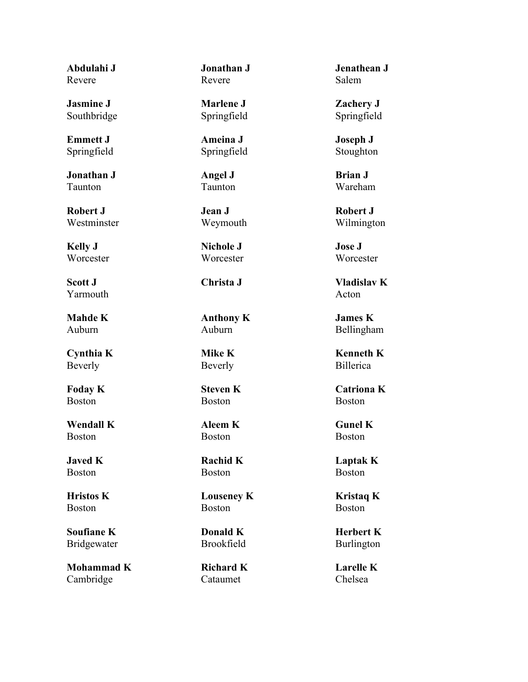**Abdulahi J** Revere

**Jasmine J** Southbridge

**Emmett J** Springfield

**Jonathan J** Taunton

**Robert J** Westminster

**Kelly J Worcester** 

**Scott J** Yarmouth

**Mahde K** Auburn

**Cynthia K** Beverly

**Foday K** Boston

**Wendall K** Boston

**Javed K** Boston

**Hristos K** Boston

**Soufiane K** Bridgewater

**Mohammad K** Cambridge

**Jonathan J** Revere

**Marlene J** Springfield

**Ameina J** Springfield

**Angel J** Taunton

**Jean J** Weymouth

**Nichole J Worcester** 

**Anthony K** Auburn

**Mike K** Beverly

**Steven K** Boston

**Aleem K** Boston

**Rachid K** Boston

**Louseney K** Boston

**Donald K** Brookfield

**Richard K** Cataumet

**Jenathean J** Salem

**Zachery J** Springfield

**Joseph J** Stoughton

**Brian J** Wareham

**Robert J** Wilmington

**Jose J Worcester** 

**Christa J Vladislav K** Acton

> **James K** Bellingham

> **Kenneth K** Billerica

**Catriona K** Boston

**Gunel K** Boston

**Laptak K** Boston

**Kristaq K** Boston

**Herbert K** Burlington

**Larelle K** Chelsea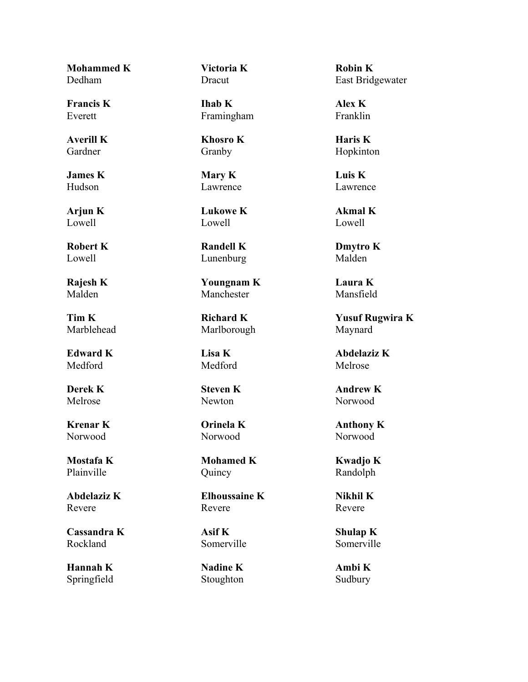**Mohammed K** Dedham

**Francis K** Everett

**Averill K** Gardner

**James K** Hudson

**Arjun K** Lowell

**Robert K** Lowell

**Rajesh K** Malden

**Tim K** Marblehead

**Edward K** Medford

**Derek K** Melrose

**Krenar K** Norwood

**Mostafa K** Plainville

**Abdelaziz K** Revere

**Cassandra K** Rockland

**Hannah K** Springfield **Victoria K** Dracut

**Ihab K** Framingham

**Khosro K** Granby

**Mary K** Lawrence

**Lukowe K** Lowell

**Randell K** Lunenburg

**Youngnam K** Manchester

**Richard K** Marlborough

**Lisa K** Medford

**Steven K** Newton

**Orinela K** Norwood

**Mohamed K** Quincy

**Elhoussaine K** Revere

**Asif K** Somerville

**Nadine K** Stoughton **Robin K** East Bridgewater

**Alex K** Franklin

**Haris K** Hopkinton

**Luis K** Lawrence

**Akmal K** Lowell

**Dmytro K** Malden

**Laura K** Mansfield

**Yusuf Rugwira K** Maynard

**Abdelaziz K** Melrose

**Andrew K** Norwood

**Anthony K** Norwood

**Kwadjo K** Randolph

**Nikhil K** Revere

**Shulap K** Somerville

**Ambi K** Sudbury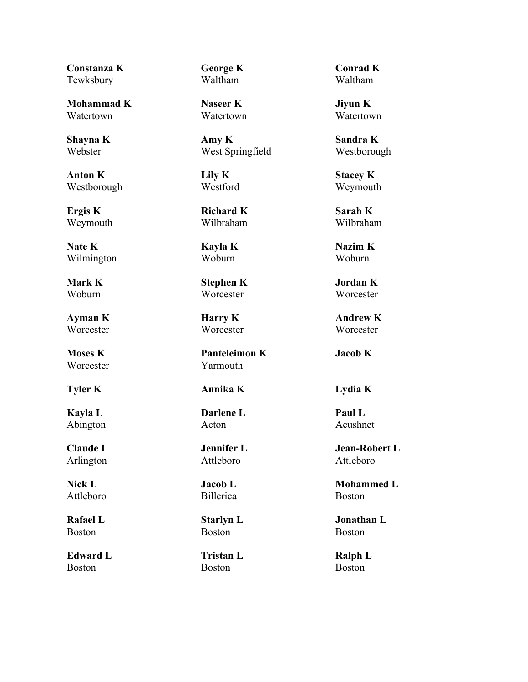**Constanza K Tewksbury** 

**Mohammad K** Watertown

**Shayna K** Webster

**Anton K** Westborough

**Ergis K** Weymouth

**Nate K** Wilmington

**Mark K** Woburn

**Ayman K Worcester** 

**Moses K Worcester** 

**Kayla L** Abington

**Claude L** Arlington

**Nick L** Attleboro

**Rafael L** Boston

**Edward L** Boston

**George K** Waltham

**Naseer K** Watertown

**Amy K** West Springfield

**Lily K** Westford

**Richard K** Wilbraham

**Kayla K** Woburn

**Stephen K** Worcester

**Harry K Worcester** 

**Panteleimon K** Yarmouth

**Tyler K Annika K Lydia K**

**Darlene L** Acton

**Jennifer L** Attleboro

**Jacob L** Billerica

**Starlyn L** Boston

**Tristan L** Boston

**Conrad K** Waltham

**Jiyun K** Watertown

**Sandra K** Westborough

**Stacey K** Weymouth

**Sarah K** Wilbraham

**Nazim K** Woburn

**Jordan K Worcester** 

**Andrew K Worcester** 

**Jacob K**

**Paul L** Acushnet

**Jean-Robert L** Attleboro

**Mohammed L** Boston

**Jonathan L** Boston

**Ralph L** Boston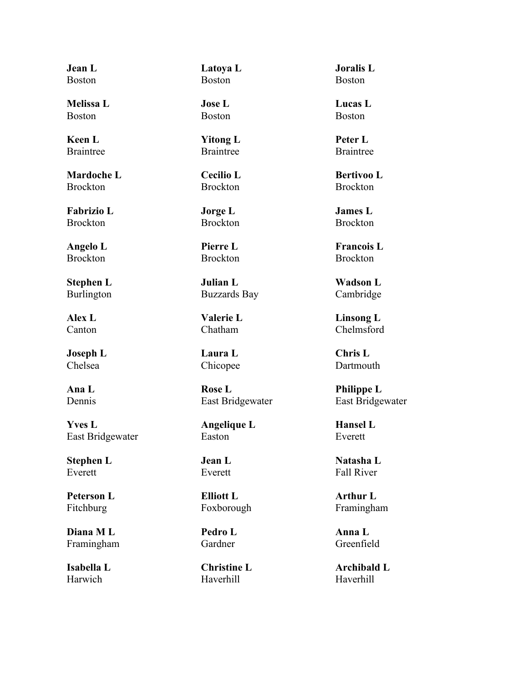**Jean L** Boston

**Melissa L** Boston

**Keen L** Braintree

**Mardoche L Brockton** 

**Fabrizio L** Brockton

**Angelo L** Brockton

**Stephen L** Burlington

**Alex L** Canton

**Joseph L** Chelsea

**Ana L** Dennis

**Yves L** East Bridgewater

**Stephen L** Everett

**Peterson L** Fitchburg

**Diana M L** Framingham

**Isabella L** Harwich

**Latoya L** Boston

**Jose L** Boston

**Yitong L** Braintree

**Cecilio L** Brockton

**Jorge L** Brockton

**Pierre L** Brockton

**Julian L** Buzzards Bay

**Valerie L** Chatham

**Laura L** Chicopee

**Rose L** East Bridgewater

**Angelique L** Easton

**Jean L** Everett

**Elliott L** Foxborough

**Pedro L** Gardner

**Christine L** Haverhill

**Joralis L** Boston

**Lucas L** Boston

**Peter L** Braintree

**Bertivoo L** Brockton

**James L** Brockton

**Francois L** Brockton

**Wadson L** Cambridge

**Linsong L** Chelmsford

**Chris L** Dartmouth

**Philippe L** East Bridgewater

**Hansel L** Everett

**Natasha L** Fall River

**Arthur L** Framingham

**Anna L** Greenfield

**Archibald L** Haverhill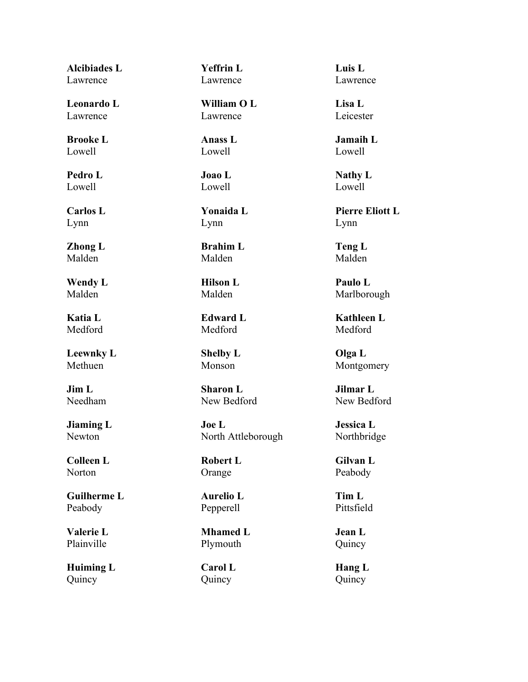**Alcibiades L** Lawrence

**Leonardo L** Lawrence

**Brooke L** Lowell

**Pedro L** Lowell

**Carlos L** Lynn

**Zhong L** Malden

**Wendy L** Malden

**Katia L** Medford

**Leewnky L** Methuen

**Jim L** Needham

**Jiaming L** Newton

**Colleen L** Norton

**Guilherme L** Peabody

**Valerie L** Plainville

**Huiming L** Quincy

**Yeffrin L** Lawrence

**William O L** Lawrence

**Anass L** Lowell

**Joao L** Lowell

**Yonaida L** Lynn

**Brahim L** Malden

**Hilson L** Malden

**Edward L** Medford

**Shelby L** Monson

**Sharon L** New Bedford

**Joe L** North Attleborough

**Robert L** Orange

**Aurelio L** Pepperell

**Mhamed L** Plymouth

**Carol L** Quincy

**Luis L** Lawrence

**Lisa L** Leicester

**Jamaih L** Lowell

**Nathy L** Lowell

**Pierre Eliott L** Lynn

**Teng L** Malden

**Paulo L** Marlborough

**Kathleen L** Medford

**Olga L** Montgomery

**Jilmar L** New Bedford

**Jessica L** Northbridge

**Gilvan L** Peabody

**Tim L** Pittsfield

**Jean L** Quincy

**Hang L** Quincy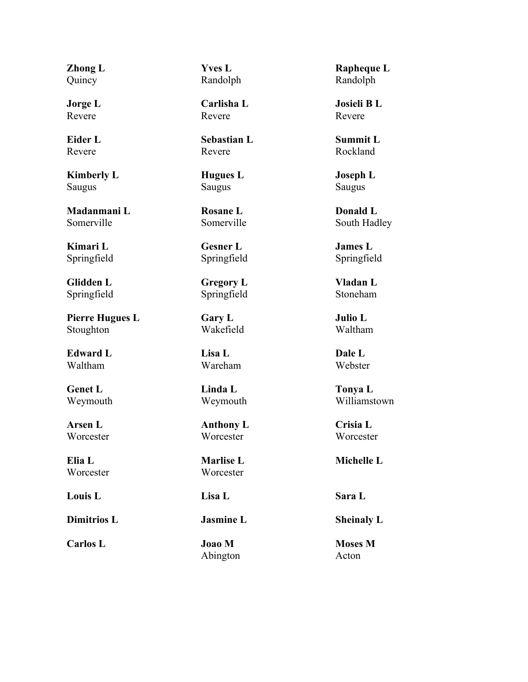**Zhong L** Quincy

**Jorge L** Revere

**Eider L** Revere

**Kimberly L** Saugus

**Madanmani L** Somerville

**Kimari L** Springfield

**Glidden L** Springfield

**Pierre Hugues L** Stoughton

**Edward L** Waltham

**Genet L** Weymouth

**Arsen L** Worcester

**Elia L Worcester** 

**Louis L Lisa L Sara L**

**Carlos L Joao M**

**Yves L** Randolph

**Carlisha L** Revere

**Sebastian L** Revere

**Hugues L** Saugus

**Rosane L** Somerville

**Gesner L** Springfield

**Gregory L** Springfield

**Gary L** Wakefield

**Lisa L** Wareham

**Linda L** Weymouth

**Anthony L** Worcester

**Marlise L Worcester** 

Abington

**Rapheque L** Randolph

**Josieli B L** Revere

**Summit L** Rockland

**Joseph L** Saugus

**Donald L** South Hadley

**James L** Springfield

**Vladan L** Stoneham

**Julio L** Waltham

**Dale L** Webster

**Tonya L** Williamstown

**Crisia L Worcester** 

**Michelle L**

**Dimitrios L Jasmine L Sheinaly L**

**Moses M** Acton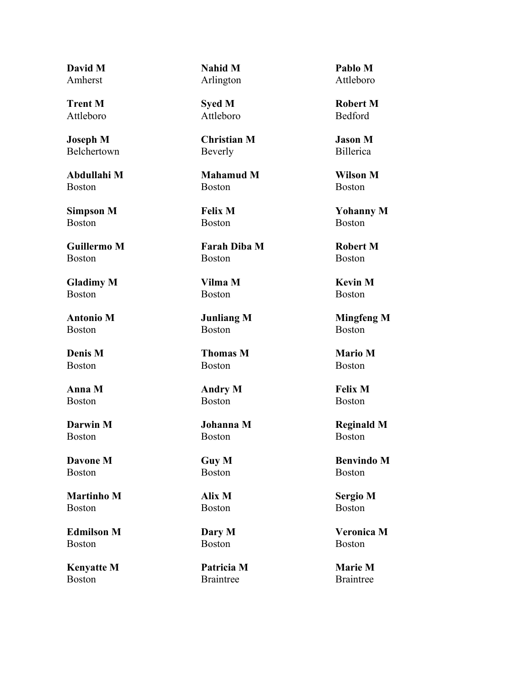**David M** Amherst

**Trent M** Attleboro

**Joseph M** Belchertown

**Abdullahi M** Boston

**Simpson M** Boston

**Guillermo M** Boston

**Gladimy M** Boston

**Antonio M** Boston

**Denis M** Boston

**Anna M** Boston

**Darwin M** Boston

**Davone M** Boston

**Martinho M** Boston

**Edmilson M** Boston

**Kenyatte M** Boston

**Nahid M** Arlington

**Syed M** Attleboro

**Christian M** Beverly

**Mahamud M** Boston

**Felix M** Boston

**Farah Diba M** Boston

**Vilma M** Boston

**Junliang M** Boston

**Thomas M** Boston

**Andry M** Boston

**Johanna M** Boston

**Guy M** Boston

**Alix M** Boston

**Dary M** Boston

**Patricia M** Braintree

**Pablo M** Attleboro

**Robert M** Bedford

**Jason M** Billerica

**Wilson M** Boston

**Yohanny M** Boston

**Robert M** Boston

**Kevin M** Boston

**Mingfeng M** Boston

**Mario M** Boston

**Felix M** Boston

**Reginald M** Boston

**Benvindo M** Boston

**Sergio M** Boston

**Veronica M** Boston

**Marie M** Braintree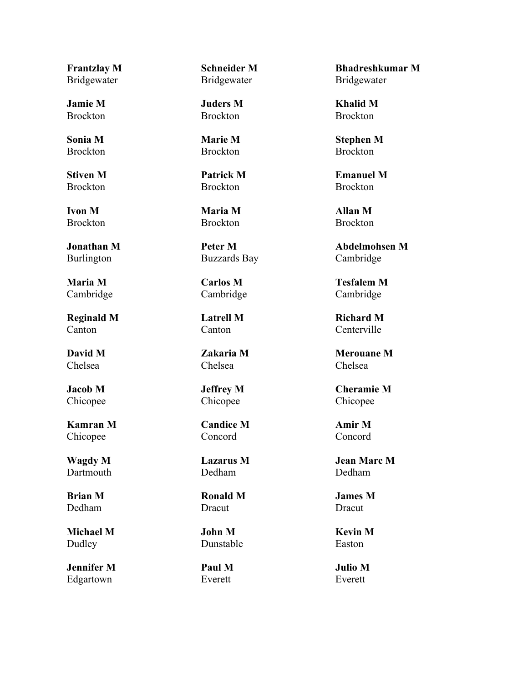**Frantzlay M** Bridgewater

**Jamie M** Brockton

**Sonia M** Brockton

**Stiven M Brockton** 

**Ivon M** Brockton

**Jonathan M** Burlington

**Maria M** Cambridge

**Reginald M** Canton

**David M** Chelsea

**Jacob M** Chicopee

**Kamran M** Chicopee

**Wagdy M** Dartmouth

**Brian M** Dedham

**Michael M** Dudley

**Jennifer M** Edgartown

**Schneider M** Bridgewater

**Juders M** Brockton

**Marie M** Brockton

**Patrick M** Brockton

**Maria M** Brockton

**Peter M** Buzzards Bay

**Carlos M** Cambridge

**Latrell M** Canton

**Zakaria M** Chelsea

**Jeffrey M** Chicopee

**Candice M** Concord

**Lazarus M** Dedham

**Ronald M** Dracut

**John M** Dunstable

**Paul M** Everett

**Bhadreshkumar M** Bridgewater

**Khalid M** Brockton

**Stephen M** Brockton

**Emanuel M Brockton** 

**Allan M** Brockton

**Abdelmohsen M** Cambridge

**Tesfalem M** Cambridge

**Richard M** Centerville

**Merouane M** Chelsea

**Cheramie M** Chicopee

**Amir M** Concord

**Jean Marc M** Dedham

**James M** Dracut

**Kevin M** Easton

**Julio M** Everett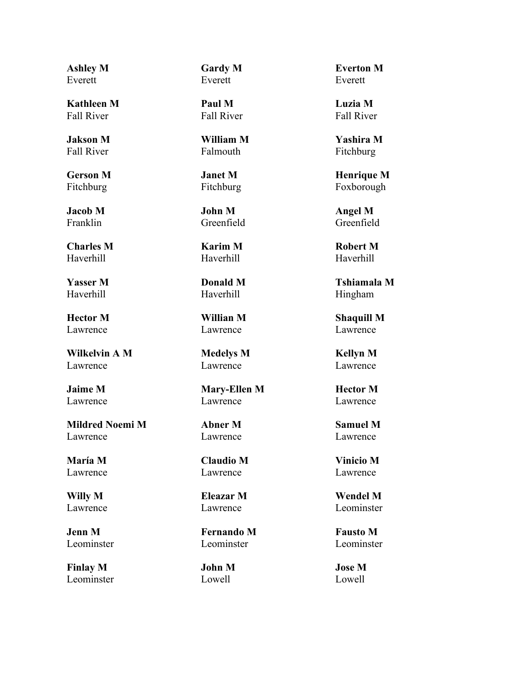**Ashley M** Everett

**Kathleen M** Fall River

**Jakson M** Fall River

**Gerson M** Fitchburg

**Jacob M** Franklin

**Charles M** Haverhill

**Yasser M** Haverhill

**Hector M** Lawrence

**Wilkelvin A M** Lawrence

**Jaime M** Lawrence

**Mildred Noemi M** Lawrence

**María M** Lawrence

**Willy M** Lawrence

**Jenn M** Leominster

**Finlay M** Leominster **Gardy M** Everett

**Paul M** Fall River

**William M** Falmouth

**Janet M** Fitchburg

**John M** Greenfield

**Karim M** Haverhill

**Donald M** Haverhill

**Willian M** Lawrence

**Medelys M** Lawrence

**Mary-Ellen M** Lawrence

### **Abner M** Lawrence

**Claudio M** Lawrence

**Eleazar M** Lawrence

**Fernando M** Leominster

**John M** Lowell

**Everton M** Everett

**Luzia M** Fall River

**Yashira M** Fitchburg

**Henrique M** Foxborough

**Angel M** Greenfield

**Robert M** Haverhill

**Tshiamala M** Hingham

**Shaquill M** Lawrence

**Kellyn M** Lawrence

**Hector M** Lawrence

**Samuel M** Lawrence

**Vinicio M** Lawrence

**Wendel M** Leominster

**Fausto M** Leominster

**Jose M** Lowell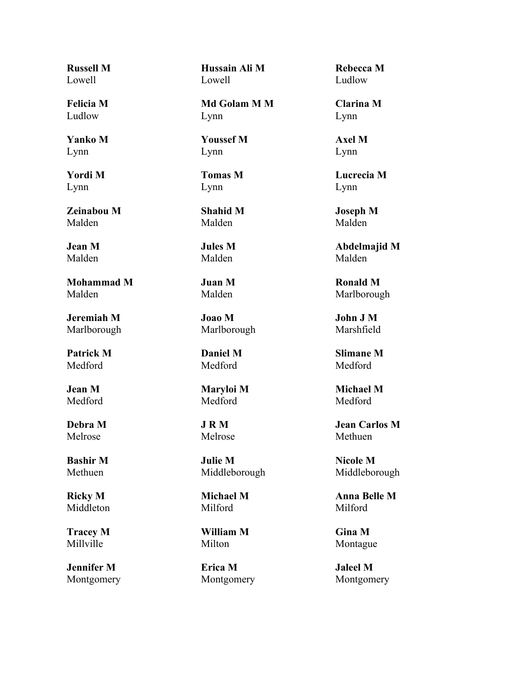**Russell M** Lowell

**Felicia M** Ludlow

**Yanko M** Lynn

**Yordi M** Lynn

**Zeinabou M** Malden

**Jean M** Malden

**Mohammad M** Malden

**Jeremiah M** Marlborough

**Patrick M** Medford

**Jean M** Medford

**Debra M** Melrose

**Bashir M** Methuen

**Ricky M** Middleton

**Tracey M** Millville

**Jennifer M** Montgomery **Hussain Ali M** Lowell

**Md Golam M M** Lynn

**Youssef M** Lynn

**Tomas M** Lynn

**Shahid M** Malden

**Jules M** Malden

**Juan M** Malden

**Joao M** Marlborough

**Daniel M** Medford

**Maryloi M** Medford

**J R M** Melrose

**Julie M** Middleborough

**Michael M** Milford

**William M** Milton

**Erica M** Montgomery

**Rebecca M** Ludlow

**Clarina M** Lynn

**Axel M** Lynn

**Lucrecia M** Lynn

**Joseph M** Malden

**Abdelmajid M** Malden

**Ronald M** Marlborough

**John J M** Marshfield

**Slimane M** Medford

**Michael M** Medford

**Jean Carlos M** Methuen

**Nicole M** Middleborough

**Anna Belle M** Milford

**Gina M** Montague

**Jaleel M** Montgomery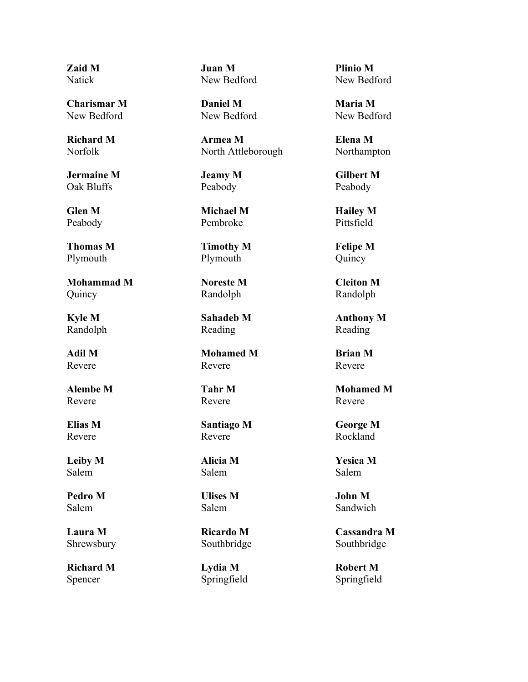**Zaid M** Natick

**Charismar M** New Bedford

**Richard M** Norfolk

**Jermaine M** Oak Bluffs

**Glen M** Peabody

**Thomas M** Plymouth

**Mohammad M** Quincy

**Kyle M** Randolph

**Adil M** Revere

**Alembe M** Revere

**Elias M** Revere

**Leiby M** Salem

**Pedro M** Salem

**Laura M** Shrewsbury

**Richard M** Spencer

**Juan M** New Bedford

**Daniel M** New Bedford

**Armea M** North Attleborough

**Jeamy M** Peabody

**Michael M** Pembroke

**Timothy M** Plymouth

**Noreste M** Randolph

**Sahadeb M** Reading

**Mohamed M** Revere

**Tahr M** Revere

**Santiago M** Revere

**Alicia M** Salem

**Ulises M** Salem

**Ricardo M** Southbridge

**Lydia M** Springfield **Plinio M** New Bedford

**Maria M** New Bedford

**Elena M** Northampton

**Gilbert M** Peabody

**Hailey M** Pittsfield

**Felipe M** Quincy

**Cleiton M** Randolph

**Anthony M** Reading

**Brian M** Revere

**Mohamed M** Revere

**George M** Rockland

**Yesica M** Salem

**John M** Sandwich

**Cassandra M** Southbridge

**Robert M** Springfield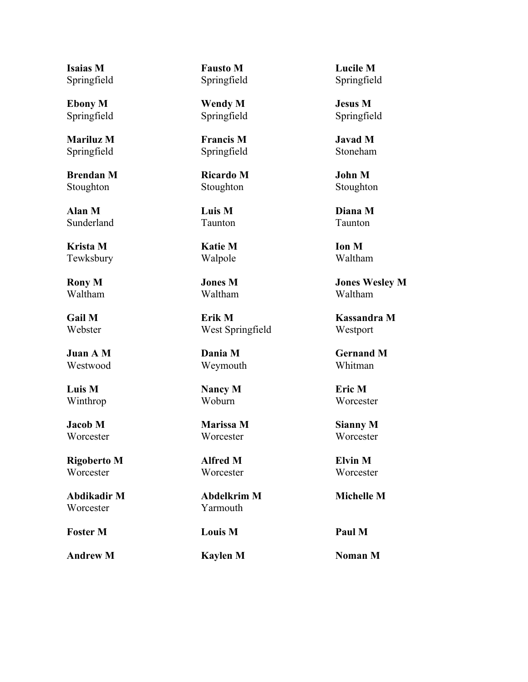**Isaias M** Springfield

**Ebony M** Springfield

**Mariluz M** Springfield

**Brendan M** Stoughton

**Alan M** Sunderland

**Krista M** Tewksbury

**Rony M** Waltham

**Gail M** Webster

**Juan A M** Westwood

**Luis M** Winthrop

**Jacob M Worcester** 

**Rigoberto M Worcester** 

**Abdikadir M** Worcester

**Foster M Louis M Paul M**

**Andrew M Kaylen M Noman M**

**Fausto M** Springfield

**Wendy M** Springfield

**Francis M** Springfield

**Ricardo M** Stoughton

**Luis M** Taunton

**Katie M** Walpole

**Jones M** Waltham

**Erik M** West Springfield

**Dania M** Weymouth

**Nancy M** Woburn

**Marissa M Worcester** 

**Alfred M Worcester** 

**Abdelkrim M** Yarmouth

**Lucile M** Springfield

**Jesus M** Springfield

**Javad M** Stoneham

**John M** Stoughton

**Diana M** Taunton

**Ion M** Waltham

**Jones Wesley M** Waltham

**Kassandra M** Westport

**Gernand M** Whitman

**Eric M Worcester** 

**Sianny M Worcester** 

**Elvin M Worcester** 

**Michelle M**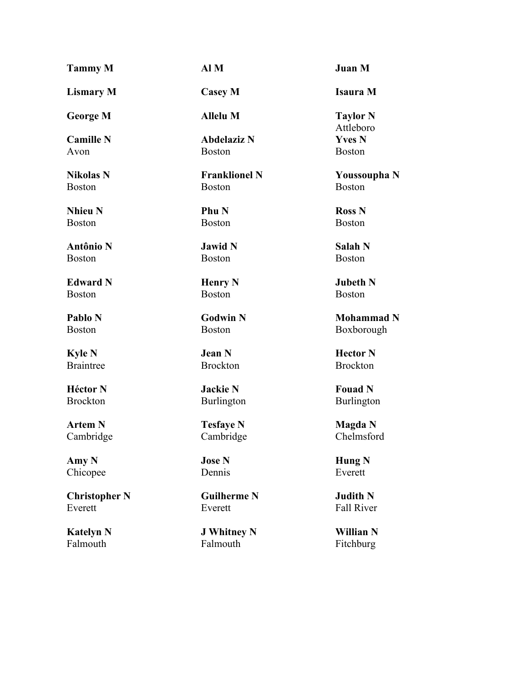#### **Tammy M Al M Juan M Lismary M Casey M Isaura M George M Allelu M Taylor N Camille N** Avon **Abdelaziz N** Boston **Nikolas N** Boston **Franklionel N** Boston **Nhieu N** Boston **Phu N** Boston **Antônio N** Boston **Jawid N** Boston **Edward N** Boston **Henry N** Boston **Pablo N** Boston **Godwin N** Boston **Kyle N** Braintree **Jean N**

**Héctor N** Brockton

**Artem N** Cambridge

**Amy N** Chicopee

**Christopher N** Everett

**Katelyn N** Falmouth

Brockton

**Jackie N** Burlington

**Tesfaye N** Cambridge

**Jose N** Dennis

**Guilherme N** Everett

**J Whitney N** Falmouth

Attleboro **Yves N** Boston

**Youssoupha N** Boston

**Ross N** Boston

**Salah N** Boston

**Jubeth N** Boston

**Mohammad N** Boxborough

**Hector N** Brockton

**Fouad N** Burlington

**Magda N** Chelmsford

**Hung N** Everett

**Judith N** Fall River

**Willian N** Fitchburg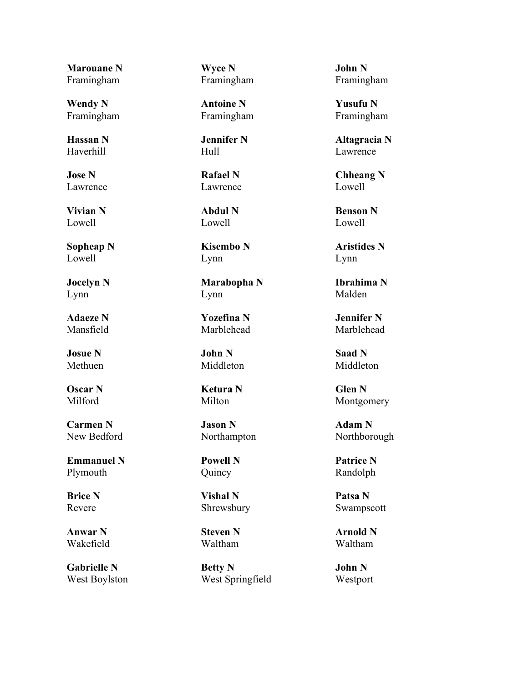**Marouane N** Framingham

**Wendy N** Framingham

**Hassan N** Haverhill

**Jose N** Lawrence

**Vivian N** Lowell

**Sopheap N** Lowell

**Jocelyn N** Lynn

**Adaeze N** Mansfield

**Josue N** Methuen

**Oscar N** Milford

**Carmen N** New Bedford

**Emmanuel N** Plymouth

**Brice N** Revere

**Anwar N** Wakefield

**Gabrielle N** West Boylston **Wyce N** Framingham

**Antoine N** Framingham

**Jennifer N** Hull

**Rafael N** Lawrence

**Abdul N** Lowell

**Kisembo N** Lynn

**Marabopha N** Lynn

**Yozefina N** Marblehead

**John N** Middleton

**Ketura N** Milton

**Jason N** Northampton

**Powell N** Quincy

**Vishal N** Shrewsbury

**Steven N** Waltham

**Betty N** West Springfield **John N** Framingham

**Yusufu N** Framingham

**Altagracia N** Lawrence

**Chheang N** Lowell

**Benson N** Lowell

**Aristides N** Lynn

**Ibrahima N** Malden

**Jennifer N** Marblehead

**Saad N** Middleton

**Glen N** Montgomery

**Adam N** Northborough

**Patrice N** Randolph

**Patsa N** Swampscott

**Arnold N** Waltham

**John N** Westport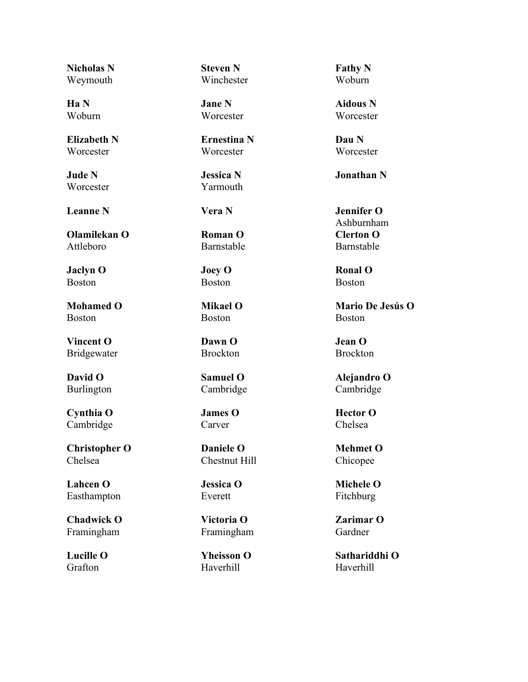**Nicholas N** Weymouth

**Ha N** Woburn

**Elizabeth N** Worcester

**Jude N Worcester** 

**Olamilekan O** Attleboro

**Jaclyn O** Boston

**Mohamed O** Boston

**Vincent O** Bridgewater

**David O** Burlington

**Cynthia O** Cambridge

**Christopher O** Chelsea

**Lahcen O** Easthampton

**Chadwick O** Framingham

**Lucille O** Grafton

**Steven N** Winchester

**Jane N Worcester** 

**Ernestina N Worcester** 

**Jessica N** Yarmouth

**Roman O** Barnstable

**Joey O** Boston

**Mikael O** Boston

**Dawn O** Brockton

**Samuel O** Cambridge

**James O** Carver

**Daniele O** Chestnut Hill

**Jessica O** Everett

**Victoria O** Framingham

**Yheisson O** Haverhill

**Fathy N** Woburn

**Aidous N Worcester** 

**Dau N Worcester** 

**Jonathan N**

**Leanne N Vera N Jennifer O** Ashburnham **Clerton O** Barnstable

> **Ronal O** Boston

**Mario De Jesús O** Boston

**Jean O** Brockton

**Alejandro O** Cambridge

**Hector O** Chelsea

**Mehmet O** Chicopee

**Michele O** Fitchburg

**Zarimar O** Gardner

**Sathariddhi O** Haverhill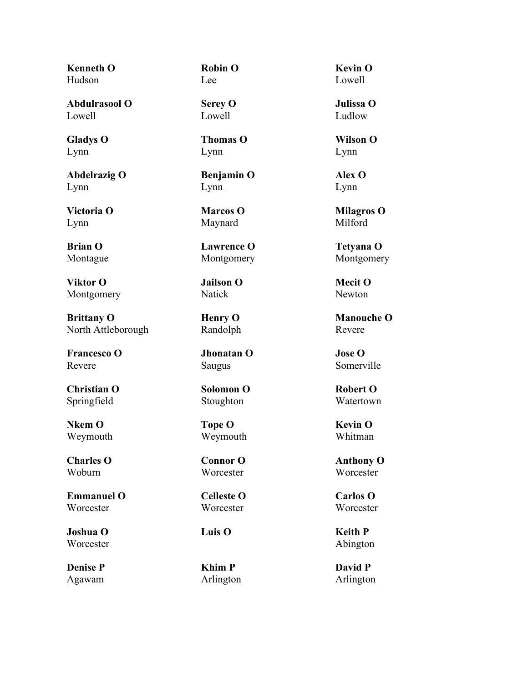**Kenneth O** Hudson

**Abdulrasool O** Lowell

**Gladys O** Lynn

**Abdelrazig O** Lynn

**Victoria O** Lynn

**Brian O** Montague

**Viktor O** Montgomery

**Brittany O** North Attleborough

**Francesco O** Revere

**Christian O** Springfield

**Nkem O** Weymouth

**Charles O** Woburn

**Emmanuel O Worcester** 

**Joshua O Worcester** 

**Denise P** Agawam **Robin O** Lee

**Serey O** Lowell

**Thomas O** Lynn

**Benjamin O** Lynn

**Marcos O** Maynard

**Lawrence O** Montgomery

**Jailson O** Natick

**Henry O** Randolph

**Jhonatan O** Saugus

**Solomon O** Stoughton

**Tope O** Weymouth

**Connor O Worcester** 

**Celleste O** Worcester

**Khim P** Arlington

**Kevin O** Lowell

**Julissa O** Ludlow

**Wilson O** Lynn

**Alex O** Lynn

**Milagros O** Milford

**Tetyana O** Montgomery

**Mecit O** Newton

**Manouche O** Revere

**Jose O** Somerville

**Robert O** Watertown

**Kevin O** Whitman

**Anthony O Worcester** 

**Carlos O Worcester** 

**Luis O Keith P** Abington

> **David P** Arlington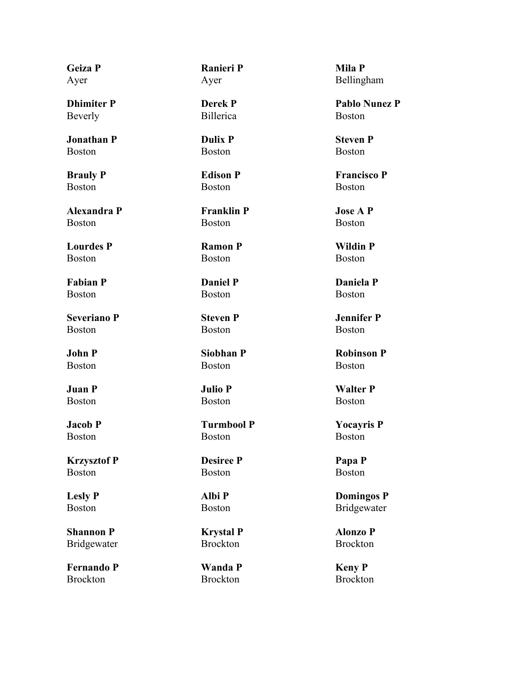**Geiza P** Ayer

**Dhimiter P** Beverly

**Jonathan P** Boston

**Brauly P** Boston

**Alexandra P** Boston

**Lourdes P** Boston

**Fabian P** Boston

**Severiano P** Boston

**John P** Boston

**Juan P** Boston

**Jacob P** Boston

**Krzysztof P** Boston

**Lesly P** Boston

**Shannon P** Bridgewater

**Fernando P** Brockton

**Ranieri P** Ayer

**Derek P** Billerica

**Dulix P** Boston

**Edison P** Boston

**Franklin P** Boston

**Ramon P** Boston

**Daniel P** Boston

**Steven P** Boston

**Siobhan P** Boston

**Julio P** Boston

**Turmbool P** Boston

**Desiree P** Boston

**Albi P** Boston

**Krystal P** Brockton

**Wanda P** Brockton

**Mila P** Bellingham

**Pablo Nunez P** Boston

**Steven P** Boston

**Francisco P** Boston

**Jose A P** Boston

**Wildin P** Boston

**Daniela P** Boston

**Jennifer P** Boston

**Robinson P** Boston

**Walter P** Boston

**Yocayris P** Boston

**Papa P** Boston

**Domingos P** Bridgewater

**Alonzo P** Brockton

**Keny P** Brockton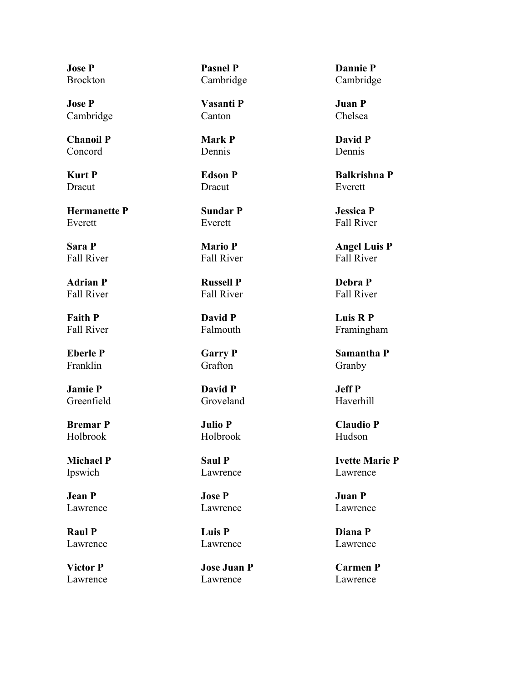**Jose P** Brockton

**Jose P** Cambridge

**Chanoil P** Concord

**Kurt P** Dracut

**Hermanette P** Everett

**Sara P** Fall River

**Adrian P** Fall River

**Faith P** Fall River

**Eberle P** Franklin

**Jamie P** Greenfield

**Bremar P** Holbrook

**Michael P** Ipswich

**Jean P** Lawrence

**Raul P** Lawrence

**Victor P** Lawrence **Pasnel P** Cambridge

**Vasanti P** Canton

**Mark P** Dennis

**Edson P Dracut** 

**Sundar P** Everett

**Mario P** Fall River

**Russell P** Fall River

**David P** Falmouth

**Garry P** Grafton

**David P** Groveland

**Julio P** Holbrook

**Saul P** Lawrence

**Jose P** Lawrence

**Luis P** Lawrence

**Jose Juan P** Lawrence

**Dannie P** Cambridge

**Juan P** Chelsea

**David P** Dennis

**Balkrishna P** Everett

**Jessica P** Fall River

**Angel Luis P** Fall River

**Debra P** Fall River

**Luis R P** Framingham

**Samantha P** Granby

**Jeff P** Haverhill

**Claudio P** Hudson

**Ivette Marie P** Lawrence

**Juan P** Lawrence

**Diana P** Lawrence

**Carmen P** Lawrence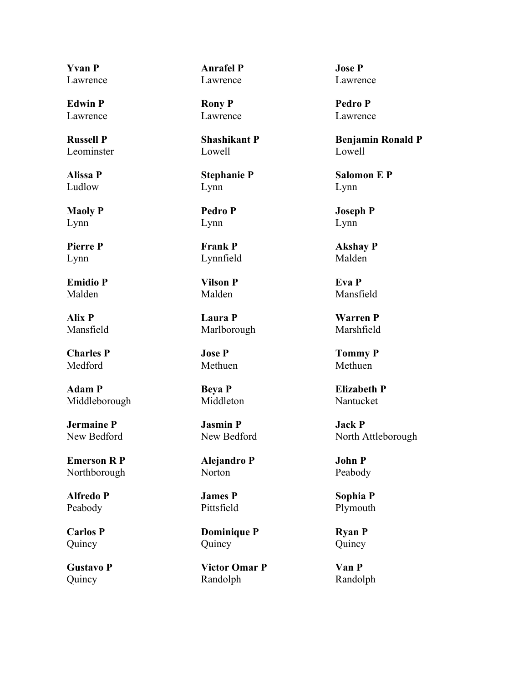**Yvan P** Lawrence

**Edwin P** Lawrence

**Russell P** Leominster

**Alissa P** Ludlow

**Maoly P** Lynn

**Pierre P** Lynn

**Emidio P** Malden

**Alix P** Mansfield

**Charles P** Medford

**Adam P** Middleborough

**Jermaine P** New Bedford

**Emerson R P** Northborough

**Alfredo P** Peabody

**Carlos P** Quincy

**Gustavo P** Quincy

**Anrafel P** Lawrence

**Rony P** Lawrence

**Shashikant P** Lowell

**Stephanie P** Lynn

**Pedro P** Lynn

**Frank P** Lynnfield

**Vilson P** Malden

**Laura P** Marlborough

**Jose P** Methuen

**Beya P** Middleton

**Jasmin P** New Bedford

**Alejandro P** Norton

**James P** Pittsfield

**Dominique P** Quincy

**Victor Omar P** Randolph

**Jose P** Lawrence

**Pedro P** Lawrence

**Benjamin Ronald P** Lowell

**Salomon E P** Lynn

**Joseph P** Lynn

**Akshay P** Malden

**Eva P** Mansfield

**Warren P** Marshfield

**Tommy P** Methuen

**Elizabeth P** Nantucket

**Jack P** North Attleborough

**John P** Peabody

**Sophia P** Plymouth

**Ryan P** Quincy

**Van P** Randolph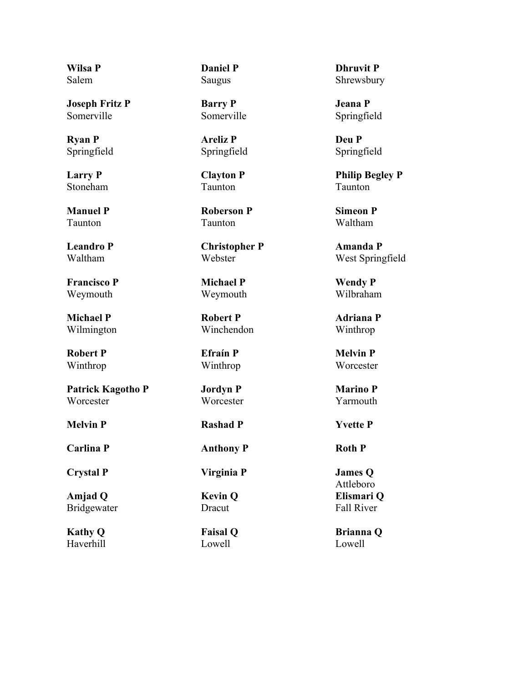**Wilsa P** Salem

**Joseph Fritz P** Somerville

**Ryan P** Springfield

**Larry P** Stoneham

**Manuel P** Taunton

**Leandro P** Waltham

**Francisco P** Weymouth

**Michael P** Wilmington

**Robert P** Winthrop

**Patrick Kagotho P Worcester** 

**Crystal P Virginia P James Q**

**Amjad Q** Bridgewater

**Kathy Q** Haverhill **Daniel P** Saugus

**Barry P** Somerville

**Areliz P** Springfield

**Clayton P** Taunton

**Roberson P** Taunton

**Christopher P** Webster

**Michael P** Weymouth

**Robert P** Winchendon

**Efraín P** Winthrop

**Jordyn P Worcester** 

**Melvin P Rashad P Yvette P**

**Carlina P Anthony P Roth P**

**Kevin Q** Dracut

**Faisal Q** Lowell

**Dhruvit P** Shrewsbury

**Jeana P** Springfield

**Deu P** Springfield

**Philip Begley P** Taunton

**Simeon P** Waltham

**Amanda P** West Springfield

**Wendy P** Wilbraham

**Adriana P** Winthrop

**Melvin P** Worcester

**Marino P** Yarmouth

Attleboro **Elismari Q** Fall River

**Brianna Q** Lowell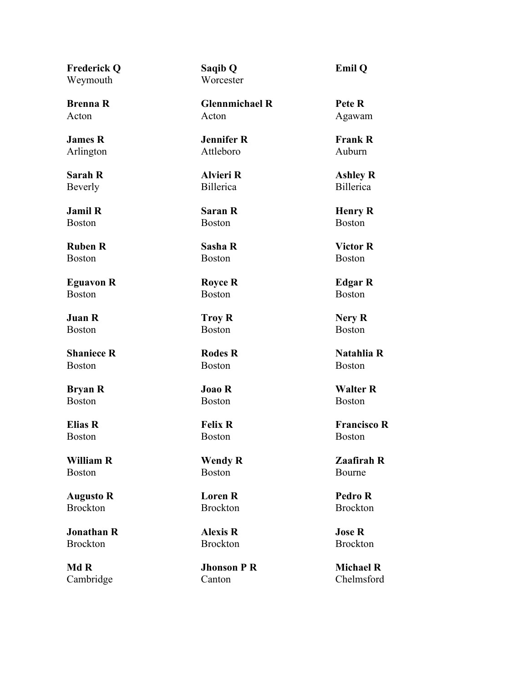**Frederick Q** Weymouth

**Brenna R** Acton

**James R** Arlington

**Sarah R** Beverly

**Jamil R** Boston

**Ruben R** Boston

**Eguavon R** Boston

**Juan R** Boston

**Shaniece R** Boston

**Bryan R** Boston

**Elias R** Boston

**William R** Boston

**Augusto R** Brockton

**Jonathan R** Brockton

**Md R** Cambridge **Saqib Q Worcester** 

**Glennmichael R** Acton

**Jennifer R** Attleboro

**Alvieri R** Billerica

**Saran R** Boston

**Sasha R** Boston

**Royce R** Boston

**Troy R** Boston

**Rodes R** Boston

**Joao R** Boston

# **Felix R** Boston

**Wendy R** Boston

**Loren R** Brockton

**Alexis R** Brockton

**Jhonson P R** Canton

**Emil Q**

**Pete R** Agawam

**Frank R** Auburn

**Ashley R** Billerica

**Henry R** Boston

**Victor R** Boston

**Edgar R** Boston

**Nery R** Boston

**Natahlia R** Boston

**Walter R** Boston

**Francisco R** Boston

**Zaafirah R** Bourne

**Pedro R** Brockton

**Jose R** Brockton

**Michael R** Chelmsford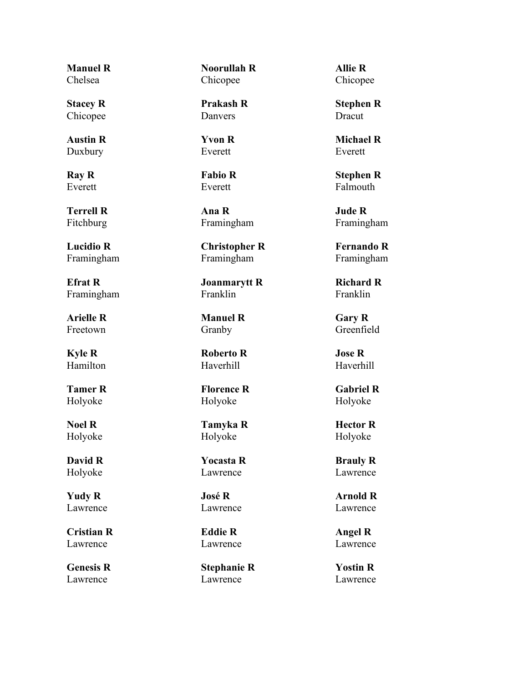**Manuel R** Chelsea

**Stacey R** Chicopee

**Austin R** Duxbury

**Ray R** Everett

**Terrell R** Fitchburg

**Lucidio R** Framingham

**Efrat R** Framingham

**Arielle R** Freetown

**Kyle R** Hamilton

**Tamer R** Holyoke

**Noel R** Holyoke

**David R** Holyoke

**Yudy R** Lawrence

**Cristian R** Lawrence

**Genesis R** Lawrence

**Noorullah R** Chicopee

**Prakash R** Danvers

**Yvon R** Everett

**Fabio R** Everett

**Ana R** Framingham

**Christopher R** Framingham

**Joanmarytt R** Franklin

**Manuel R** Granby

**Roberto R** Haverhill

**Florence R** Holyoke

**Tamyka R** Holyoke

**Yocasta R** Lawrence

**José R** Lawrence

**Eddie R** Lawrence

**Stephanie R** Lawrence

**Allie R** Chicopee

**Stephen R** Dracut

**Michael R** Everett

**Stephen R** Falmouth

**Jude R** Framingham

**Fernando R** Framingham

**Richard R** Franklin

**Gary R** Greenfield

**Jose R** Haverhill

**Gabriel R** Holyoke

**Hector R** Holyoke

**Brauly R** Lawrence

**Arnold R** Lawrence

**Angel R** Lawrence

**Yostin R** Lawrence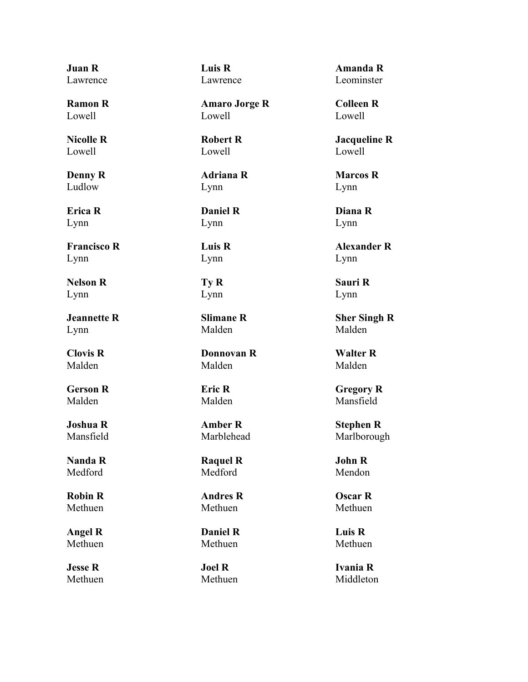**Juan R** Lawrence

**Ramon R** Lowell

**Nicolle R** Lowell

**Denny R** Ludlow

**Erica R** Lynn

**Francisco R** Lynn

**Nelson R** Lynn

**Jeannette R** Lynn

**Clovis R** Malden

**Gerson R** Malden

**Joshua R** Mansfield

**Nanda R** Medford

**Robin R** Methuen

**Angel R** Methuen

**Jesse R** Methuen **Luis R** Lawrence

**Amaro Jorge R** Lowell

**Robert R** Lowell

**Adriana R** Lynn

**Daniel R** Lynn

**Luis R** Lynn

**Ty R** Lynn

**Slimane R** Malden

**Donnovan R** Malden

**Eric R** Malden

**Amber R** Marblehead

**Raquel R** Medford

**Andres R** Methuen

**Daniel R** Methuen

**Joel R** Methuen

**Amanda R** Leominster

**Colleen R** Lowell

**Jacqueline R** Lowell

**Marcos R** Lynn

**Diana R** Lynn

**Alexander R** Lynn

**Sauri R** Lynn

**Sher Singh R** Malden

**Walter R** Malden

**Gregory R** Mansfield

**Stephen R** Marlborough

**John R** Mendon

**Oscar R** Methuen

**Luis R** Methuen

**Ivania R** Middleton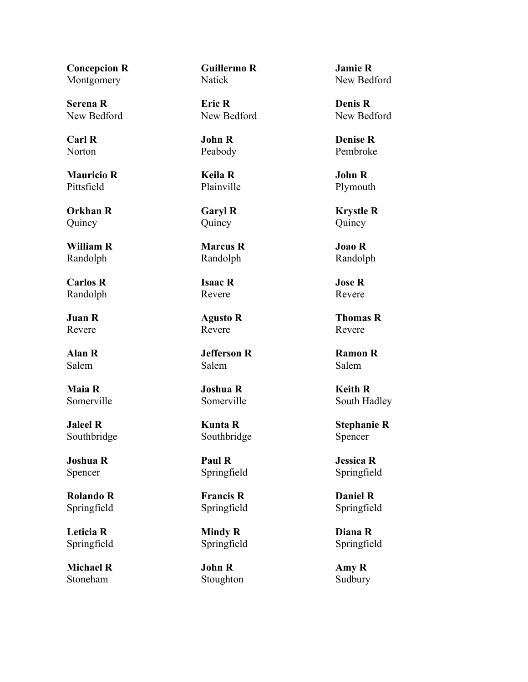**Concepcion R** Montgomery

**Serena R** New Bedford

**Carl R** Norton

**Mauricio R** Pittsfield

**Orkhan R** Quincy

**William R** Randolph

**Carlos R** Randolph

**Juan R** Revere

**Alan R** Salem

**Maia R** Somerville

**Jaleel R** Southbridge

**Joshua R** Spencer

**Rolando R** Springfield

**Leticia R** Springfield

**Michael R** Stoneham

**Guillermo R** Natick

**Eric R** New Bedford

**John R** Peabody

**Keila R** Plainville

**Garyl R** Quincy

**Marcus R** Randolph

**Isaac R** Revere

**Agusto R** Revere

**Jefferson R** Salem

**Joshua R** Somerville

**Kunta R** Southbridge

**Paul R** Springfield

**Francis R** Springfield

**Mindy R** Springfield

**John R** Stoughton **Jamie R** New Bedford

**Denis R** New Bedford

**Denise R** Pembroke

**John R** Plymouth

**Krystle R** Quincy

**Joao R** Randolph

**Jose R** Revere

**Thomas R** Revere

**Ramon R** Salem

**Keith R** South Hadley

**Stephanie R** Spencer

**Jessica R** Springfield

**Daniel R** Springfield

**Diana R** Springfield

**Amy R** Sudbury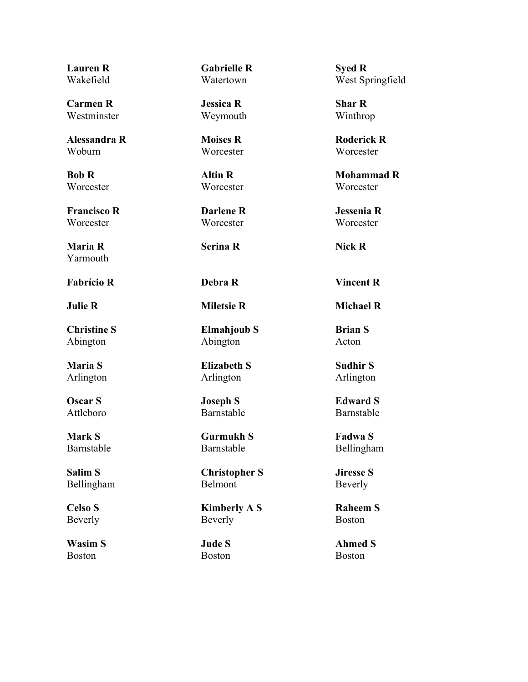**Lauren R** Wakefield

**Carmen R** Westminster

**Alessandra R** Woburn

**Bob R Worcester** 

**Francisco R Worcester** 

**Maria R** Yarmouth

**Fabrício R Debra R Vincent R**

**Christine S** Abington

**Maria S** Arlington

**Oscar S** Attleboro

**Mark S** Barnstable

**Salim S** Bellingham

**Celso S** Beverly

**Wasim S** Boston

**Gabrielle R** Watertown

**Jessica R** Weymouth

**Moises R Worcester** 

**Altin R Worcester** 

**Darlene R** Worcester

**Serina R Nick R**

**Elmahjoub S** Abington

**Elizabeth S** Arlington

**Joseph S** Barnstable

**Gurmukh S** Barnstable

**Christopher S** Belmont

**Kimberly A S** Beverly

**Jude S** Boston

**Syed R** West Springfield

**Shar R** Winthrop

**Roderick R Worcester** 

**Mohammad R Worcester** 

**Jessenia R** Worcester

**Julie R Miletsie R Michael R**

**Brian S** Acton

**Sudhir S** Arlington

**Edward S** Barnstable

**Fadwa S** Bellingham

**Jiresse S** Beverly

**Raheem S** Boston

**Ahmed S** Boston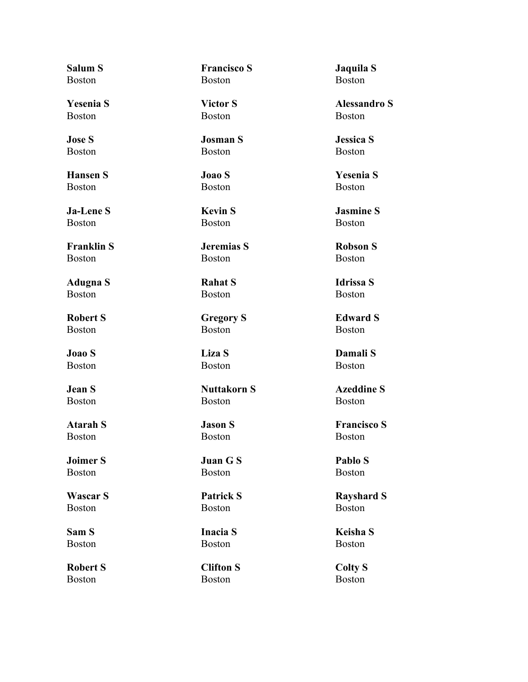**Salum S** Boston

**Yesenia S** Boston

**Jose S** Boston

**Hansen S** Boston

**Ja-Lene S** Boston

**Franklin S** Boston

**Adugna S** Boston

**Robert S** Boston

**Joao S** Boston

**Jean S** Boston

**Atarah S** Boston

**Joimer S** Boston

**Wascar S** Boston

**Sam S** Boston

**Robert S** Boston

**Francisco S** Boston

**Victor S** Boston

**Josman S** Boston

**Joao S** Boston

**Kevin S** Boston

**Jeremias S** Boston

**Rahat S** Boston

**Gregory S** Boston

**Liza S** Boston

**Nuttakorn S** Boston

# **Jason S** Boston

**Juan G S** Boston

**Patrick S** Boston

**Inacia S** Boston

**Clifton S** Boston

**Jaquila S** Boston

**Alessandro S** Boston

**Jessica S** Boston

**Yesenia S** Boston

**Jasmine S** Boston

**Robson S** Boston

**Idrissa S** Boston

**Edward S** Boston

**Damali S** Boston

**Azeddine S** Boston

**Francisco S** Boston

**Pablo S** Boston

**Rayshard S** Boston

**Keisha S** Boston

**Colty S** Boston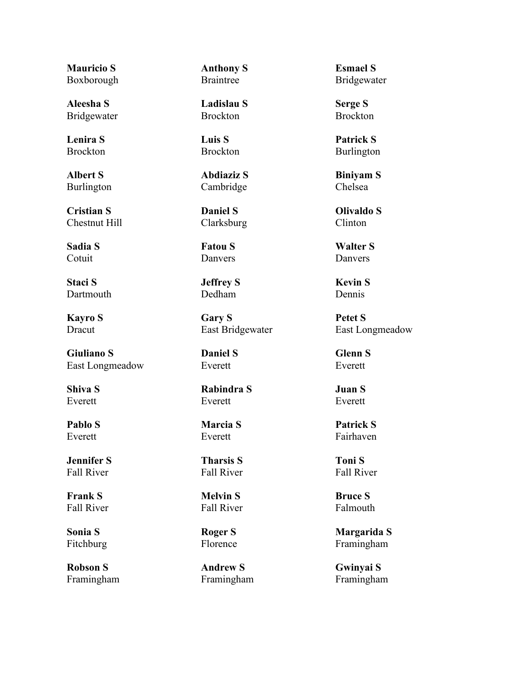**Mauricio S** Boxborough

**Aleesha S** Bridgewater

**Lenira S** Brockton

**Albert S** Burlington

**Cristian S** Chestnut Hill

**Sadia S** Cotuit

**Staci S** Dartmouth

**Kayro S** Dracut

**Giuliano S** East Longmeadow

**Shiva S** Everett

**Pablo S** Everett

**Jennifer S** Fall River

**Frank S** Fall River

**Sonia S** Fitchburg

**Robson S** Framingham **Anthony S** Braintree

**Ladislau S** Brockton

**Luis S** Brockton

**Abdiaziz S** Cambridge

**Daniel S** Clarksburg

**Fatou S** Danvers

**Jeffrey S** Dedham

**Gary S** East Bridgewater

**Daniel S** Everett

**Rabindra S** Everett

### **Marcia S** Everett

**Tharsis S** Fall River

**Melvin S** Fall River

**Roger S** Florence

**Andrew S** Framingham **Esmael S** Bridgewater

**Serge S** Brockton

**Patrick S** Burlington

**Biniyam S** Chelsea

**Olivaldo S** Clinton

**Walter S** Danvers

**Kevin S** Dennis

**Petet S** East Longmeadow

**Glenn S** Everett

**Juan S** Everett

**Patrick S** Fairhaven

**Toni S** Fall River

**Bruce S** Falmouth

**Margarida S** Framingham

**Gwinyai S** Framingham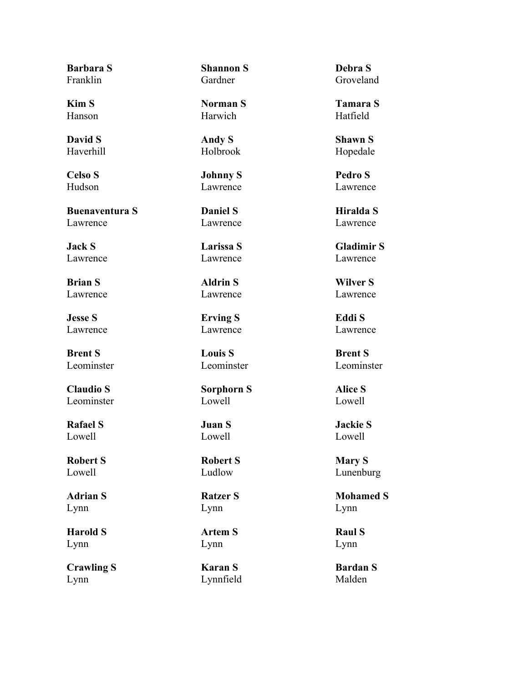**Barbara S** Franklin

**Kim S** Hanson

**David S** Haverhill

**Celso S** Hudson

**Buenaventura S** Lawrence

**Jack S** Lawrence

**Brian S** Lawrence

**Jesse S** Lawrence

**Brent S** Leominster

**Claudio S** Leominster

**Rafael S** Lowell

**Robert S** Lowell

**Adrian S** Lynn

**Harold S** Lynn

**Crawling S** Lynn

**Shannon S** Gardner

**Norman S** Harwich

**Andy S** Holbrook

**Johnny S** Lawrence

**Daniel S** Lawrence

**Larissa S** Lawrence

**Aldrin S** Lawrence

**Erving S** Lawrence

**Louis S** Leominster

**Sorphorn S** Lowell

# **Juan S** Lowell

**Robert S** Ludlow

**Ratzer S** Lynn

**Artem S** Lynn

**Karan S** Lynnfield **Debra S** Groveland

**Tamara S** Hatfield

**Shawn S** Hopedale

**Pedro S** Lawrence

**Hiralda S** Lawrence

**Gladimir S** Lawrence

**Wilver S** Lawrence

**Eddi S** Lawrence

**Brent S** Leominster

**Alice S** Lowell

**Jackie S** Lowell

**Mary S** Lunenburg

**Mohamed S** Lynn

**Raul S** Lynn

**Bardan S** Malden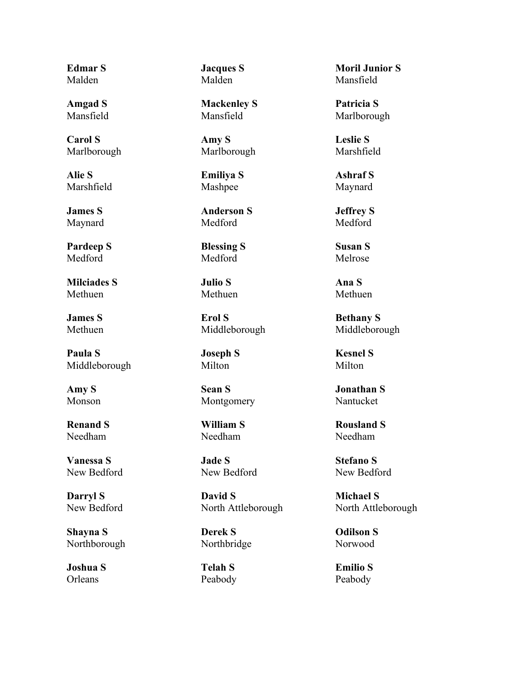**Edmar S** Malden

**Amgad S** Mansfield

**Carol S** Marlborough

**Alie S** Marshfield

**James S** Maynard

**Pardeep S** Medford

**Milciades S** Methuen

**James S** Methuen

**Paula S** Middleborough

**Amy S** Monson

**Renand S** Needham

**Vanessa S** New Bedford

**Darryl S** New Bedford

**Shayna S** Northborough

**Joshua S Orleans** 

**Jacques S** Malden

**Mackenley S** Mansfield

**Amy S** Marlborough

**Emiliya S** Mashpee

**Anderson S** Medford

**Blessing S** Medford

**Julio S** Methuen

**Erol S** Middleborough

**Joseph S** Milton

**Sean S** Montgomery

**William S** Needham

**Jade S** New Bedford

**David S** North Attleborough

**Derek S** Northbridge

**Telah S** Peabody

**Moril Junior S** Mansfield

**Patricia S** Marlborough

**Leslie S** Marshfield

**Ashraf S** Maynard

**Jeffrey S** Medford

**Susan S** Melrose

**Ana S** Methuen

**Bethany S** Middleborough

**Kesnel S** Milton

**Jonathan S** Nantucket

**Rousland S** Needham

**Stefano S** New Bedford

**Michael S** North Attleborough

**Odilson S** Norwood

**Emilio S** Peabody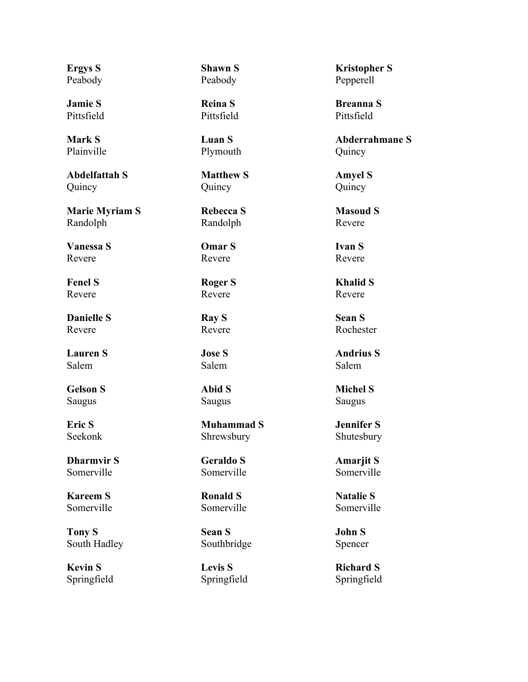**Ergys S** Peabody

**Jamie S** Pittsfield

**Mark S** Plainville

**Abdelfattah S** Quincy

**Marie Myriam S** Randolph

**Vanessa S** Revere

**Fenel S** Revere

**Danielle S** Revere

**Lauren S** Salem

**Gelson S** Saugus

**Eric S** Seekonk

**Dharmvir S** Somerville

**Kareem S** Somerville

**Tony S** South Hadley

**Kevin S** Springfield **Shawn S** Peabody

**Reina S** Pittsfield

**Luan S** Plymouth

**Matthew S** Quincy

**Rebecca S** Randolph

**Omar S** Revere

**Roger S** Revere

**Ray S** Revere

**Jose S** Salem

**Abid S** Saugus

**Muhammad S** Shrewsbury

**Geraldo S** Somerville

**Ronald S** Somerville

**Sean S** Southbridge

**Levis S** Springfield

**Kristopher S** Pepperell

**Breanna S** Pittsfield

**Abderrahmane S** Quincy

**Amyel S** Quincy

**Masoud S** Revere

**Ivan S** Revere

**Khalid S** Revere

**Sean S** Rochester

**Andrius S** Salem

**Michel S** Saugus

**Jennifer S** Shutesbury

**Amarjit S** Somerville

**Natalie S** Somerville

**John S** Spencer

**Richard S** Springfield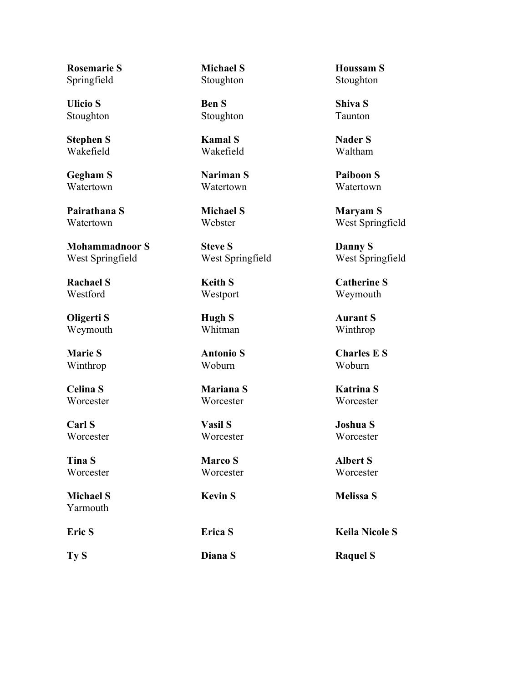**Rosemarie S** Springfield

**Ulicio S** Stoughton

**Stephen S** Wakefield

**Gegham S** Watertown

**Pairathana S** Watertown

**Mohammadnoor S** West Springfield

**Rachael S** Westford

**Oligerti S** Weymouth

**Marie S** Winthrop

**Celina S Worcester** 

**Carl S Worcester** 

**Tina S Worcester** 

**Michael S** Yarmouth

**Michael S** Stoughton

**Ben S** Stoughton

**Kamal S** Wakefield

**Nariman S** Watertown

**Michael S** Webster

**Steve S** West Springfield

**Keith S** Westport

**Hugh S** Whitman

**Antonio S** Woburn

**Mariana S Worcester** 

**Vasil S Worcester** 

**Marco S Worcester** 

**Ty S Diana S Raquel S**

**Houssam S** Stoughton

**Shiva S** Taunton

**Nader S** Waltham

**Paiboon S** Watertown

**Maryam S** West Springfield

**Danny S** West Springfield

**Catherine S** Weymouth

**Aurant S** Winthrop

**Charles E S** Woburn

**Katrina S Worcester** 

**Joshua S Worcester** 

**Albert S Worcester** 

**Kevin S Melissa S**

**Eric S Erica S Keila Nicole S**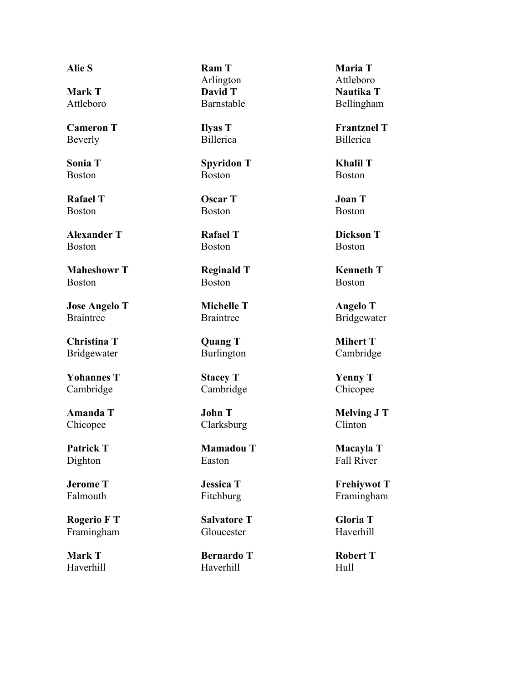**Mark T** Attleboro

**Cameron T** Beverly

**Sonia T** Boston

**Rafael T** Boston

**Alexander T** Boston

**Maheshowr T** Boston

**Jose Angelo T** Braintree

**Christina T** Bridgewater

**Yohannes T** Cambridge

**Amanda T** Chicopee

**Patrick T** Dighton

**Jerome T** Falmouth

**Rogerio F T** Framingham

**Mark T** Haverhill

**Alie S Ram T** Arlington **David T** Barnstable

> **Ilyas T** Billerica

**Spyridon T** Boston

**Oscar T** Boston

**Rafael T** Boston

**Reginald T** Boston

**Michelle T** Braintree

**Quang T** Burlington

**Stacey T** Cambridge

**John T** Clarksburg

**Mamadou T** Easton

**Jessica T** Fitchburg

**Salvatore T** Gloucester

**Bernardo T** Haverhill

**Maria T** Attleboro **Nautika T** Bellingham

**Frantznel T** Billerica

**Khalil T** Boston

**Joan T** Boston

**Dickson T** Boston

**Kenneth T** Boston

**Angelo T** Bridgewater

**Mihert T** Cambridge

**Yenny T** Chicopee

**Melving J T** Clinton

**Macayla T** Fall River

**Frehiywot T** Framingham

**Gloria T** Haverhill

**Robert T** Hull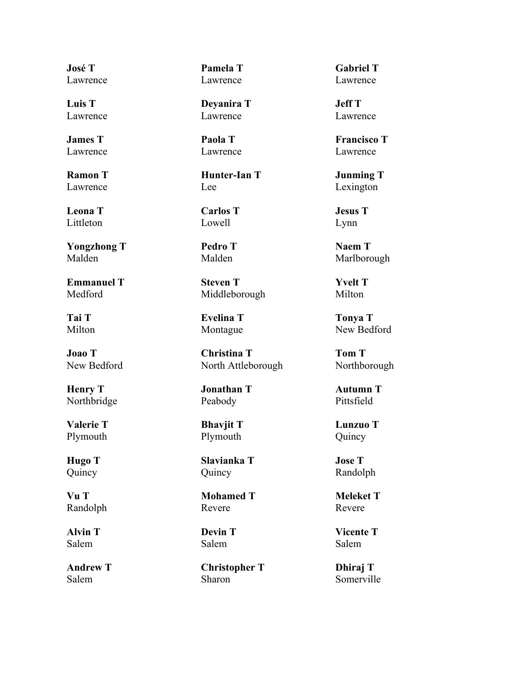**José T** Lawrence

**Luis T** Lawrence

**James T** Lawrence

**Ramon T** Lawrence

**Leona T** Littleton

**Yongzhong T** Malden

**Emmanuel T** Medford

**Tai T** Milton

**Joao T** New Bedford

**Henry T** Northbridge

**Valerie T** Plymouth

**Hugo T** Quincy

**Vu T** Randolph

**Alvin T** Salem

**Andrew T** Salem

**Pamela T** Lawrence

**Deyanira T** Lawrence

**Paola T** Lawrence

**Hunter-Ian T** Lee

**Carlos T** Lowell

**Pedro T** Malden

**Steven T** Middleborough

**Evelina T** Montague

**Christina T** North Attleborough

**Jonathan T** Peabody

### **Bhavjit T** Plymouth

**Slavianka T** Quincy

**Mohamed T** Revere

**Devin T** Salem

**Christopher T** Sharon

**Gabriel T** Lawrence

**Jeff T** Lawrence

**Francisco T** Lawrence

**Junming T** Lexington

**Jesus T** Lynn

**Naem T** Marlborough

**Yvelt T** Milton

**Tonya T** New Bedford

**Tom T** Northborough

**Autumn T** Pittsfield

**Lunzuo T** Quincy

**Jose T** Randolph

**Meleket T** Revere

**Vicente T** Salem

**Dhiraj T** Somerville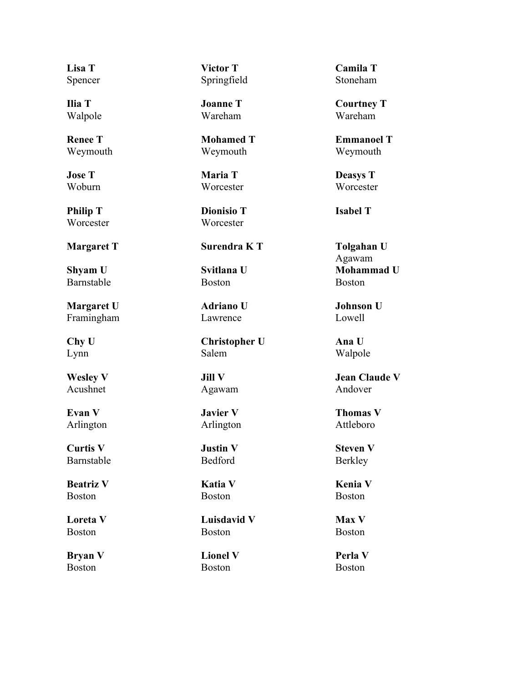**Lisa T** Spencer

**Ilia T** Walpole

**Renee T** Weymouth

**Jose T** Woburn

**Philip T** Worcester

**Shyam U** Barnstable

**Margaret U** Framingham

**Chy U** Lynn

**Wesley V** Acushnet

**Evan V** Arlington

**Curtis V** Barnstable

**Beatriz V** Boston

**Loreta V** Boston

**Bryan V** Boston

**Victor T** Springfield

**Joanne T** Wareham

**Mohamed T** Weymouth

**Maria T Worcester** 

**Dionisio T** Worcester

# **Margaret T Surendra K T Tolgahan U**

**Svitlana U** Boston

**Adriano U** Lawrence

**Christopher U** Salem

**Jill V** Agawam

**Javier V** Arlington

**Justin V** Bedford

**Katia V** Boston

**Luisdavid V** Boston

**Lionel V** Boston

**Camila T** Stoneham

**Courtney T** Wareham

**Emmanoel T** Weymouth

**Deasys T Worcester** 

**Isabel T**

Agawam **Mohammad U** Boston

**Johnson U** Lowell

**Ana U** Walpole

**Jean Claude V** Andover

**Thomas V** Attleboro

**Steven V** Berkley

**Kenia V** Boston

**Max V** Boston

**Perla V** Boston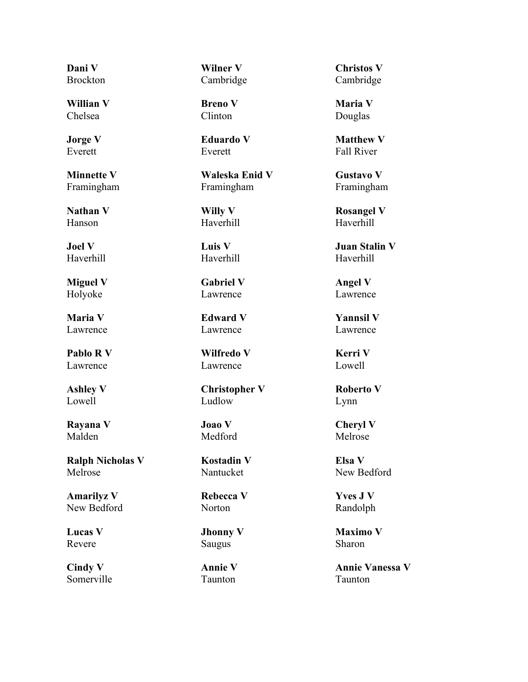**Dani V Brockton** 

**Willian V** Chelsea

**Jorge V** Everett

**Minnette V** Framingham

**Nathan V** Hanson

**Joel V** Haverhill

**Miguel V** Holyoke

**Maria V** Lawrence

**Pablo R V** Lawrence

**Ashley V** Lowell

**Rayana V** Malden

**Ralph Nicholas V** Melrose

**Amarilyz V** New Bedford

**Lucas V** Revere

**Cindy V** Somerville **Wilner V** Cambridge

**Breno V** Clinton

**Eduardo V** Everett

**Waleska Enid V** Framingham

**Willy V** Haverhill

**Luis V** Haverhill

**Gabriel V** Lawrence

**Edward V** Lawrence

**Wilfredo V** Lawrence

**Christopher V** Ludlow

**Joao V** Medford

**Kostadin V** Nantucket

**Rebecca V** Norton

**Jhonny V** Saugus

**Annie V** Taunton

**Christos V** Cambridge

**Maria V** Douglas

**Matthew V** Fall River

**Gustavo V** Framingham

**Rosangel V** Haverhill

**Juan Stalin V** Haverhill

**Angel V** Lawrence

**Yannsil V** Lawrence

**Kerri V** Lowell

**Roberto V** Lynn

**Cheryl V** Melrose

**Elsa V** New Bedford

**Yves J V** Randolph

**Maximo V** Sharon

**Annie Vanessa V** Taunton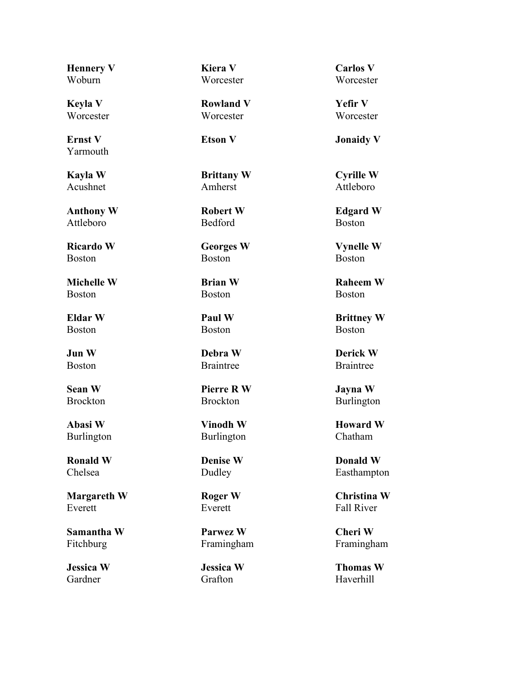**Hennery V** Woburn

**Keyla V Worcester** 

**Ernst V** Yarmouth

**Kayla W** Acushnet

**Anthony W** Attleboro

**Ricardo W** Boston

**Michelle W** Boston

**Eldar W** Boston

**Jun W** Boston

**Sean W** Brockton

**Abasi W** Burlington

**Ronald W** Chelsea

**Margareth W** Everett

**Samantha W** Fitchburg

**Jessica W** Gardner

**Kiera V Worcester** 

**Rowland V Worcester** 

**Brittany W** Amherst

**Robert W** Bedford

**Georges W** Boston

**Brian W** Boston

**Paul W** Boston

**Debra W** Braintree

**Pierre R W** Brockton

**Vinodh W** Burlington

**Denise W** Dudley

**Roger W** Everett

**Parwez W** Framingham

**Jessica W** Grafton

**Carlos V Worcester** 

**Yefir V Worcester** 

**Etson V Jonaidy V**

**Cyrille W** Attleboro

**Edgard W** Boston

**Vynelle W** Boston

**Raheem W** Boston

**Brittney W** Boston

**Derick W** Braintree

**Jayna W** Burlington

**Howard W** Chatham

**Donald W** Easthampton

**Christina W** Fall River

**Cheri W** Framingham

**Thomas W** Haverhill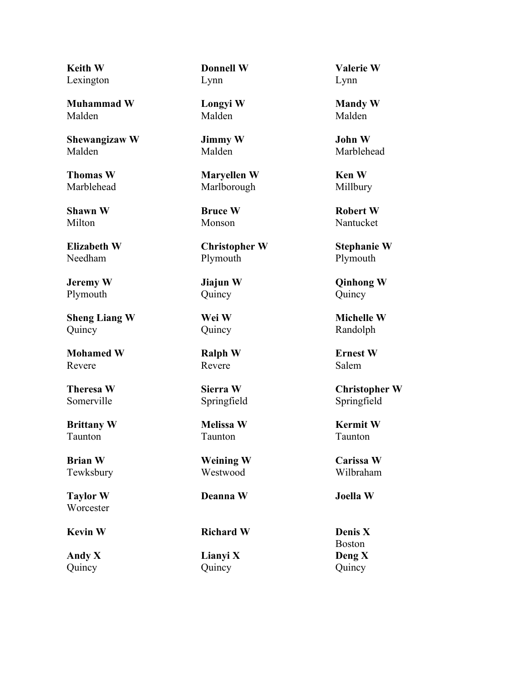**Keith W** Lexington

**Muhammad W** Malden

**Shewangizaw W** Malden

**Thomas W** Marblehead

**Shawn W** Milton

**Elizabeth W** Needham

**Jeremy W** Plymouth

**Sheng Liang W** Quincy

**Mohamed W** Revere

**Theresa W** Somerville

**Brittany W** Taunton

**Brian W** Tewksbury

**Taylor W Worcester** 

**Andy X** Quincy

**Donnell W** Lynn

**Longyi W** Malden

**Jimmy W** Malden

**Maryellen W** Marlborough

**Bruce W** Monson

**Christopher W** Plymouth

**Jiajun W** Quincy

**Wei W** Quincy

**Ralph W** Revere

**Sierra W** Springfield

**Melissa W** Taunton

**Weining W** Westwood

**Deanna W Joella W**

**Kevin W Richard W Denis X**

**Lianyi X** Quincy

**Valerie W** Lynn

**Mandy W** Malden

**John W** Marblehead

**Ken W** Millbury

**Robert W** Nantucket

**Stephanie W** Plymouth

**Qinhong W** Quincy

**Michelle W** Randolph

**Ernest W** Salem

**Christopher W** Springfield

**Kermit W** Taunton

**Carissa W** Wilbraham

Boston **Deng X** Quincy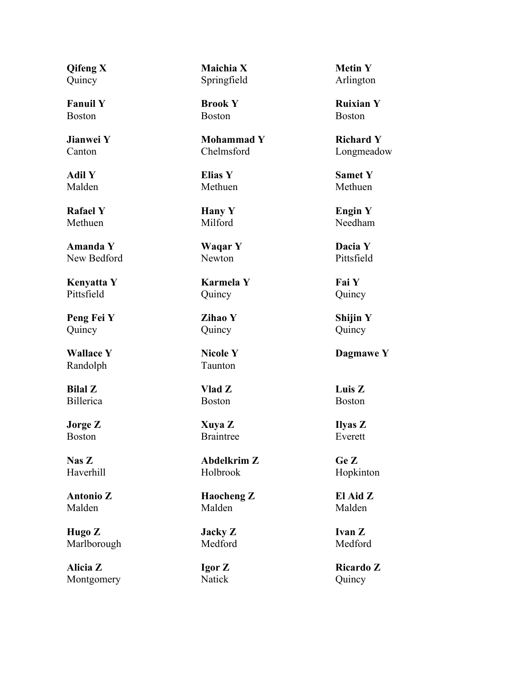**Qifeng X** Quincy

**Fanuil Y** Boston

**Jianwei Y** Canton

**Adil Y** Malden

**Rafael Y** Methuen

**Amanda Y** New Bedford

**Kenyatta Y** Pittsfield

**Peng Fei Y** Quincy

**Wallace Y** Randolph

**Bilal Z** Billerica

**Jorge Z** Boston

**Nas Z** Haverhill

**Antonio Z** Malden

**Hugo Z** Marlborough

**Alicia Z** Montgomery **Maichia X** Springfield

**Brook Y** Boston

**Mohammad Y** Chelmsford

**Elias Y** Methuen

**Hany Y** Milford

**Waqar Y** Newton

**Karmela Y** Quincy

**Zihao Y** Quincy

**Nicole Y** Taunton

**Vlad Z** Boston

**Xuya Z** Braintree

**Abdelkrim Z** Holbrook

**Haocheng Z** Malden

**Jacky Z** Medford

**Igor Z** Natick

**Metin Y** Arlington

**Ruixian Y** Boston

**Richard Y** Longmeadow

**Samet Y** Methuen

**Engin Y** Needham

**Dacia Y** Pittsfield

**Fai Y** Quincy

**Shijin Y** Quincy

**Dagmawe Y**

**Luis Z** Boston

**Ilyas Z** Everett

**Ge Z** Hopkinton

**El Aid Z** Malden

**Ivan Z** Medford

**Ricardo Z** Quincy